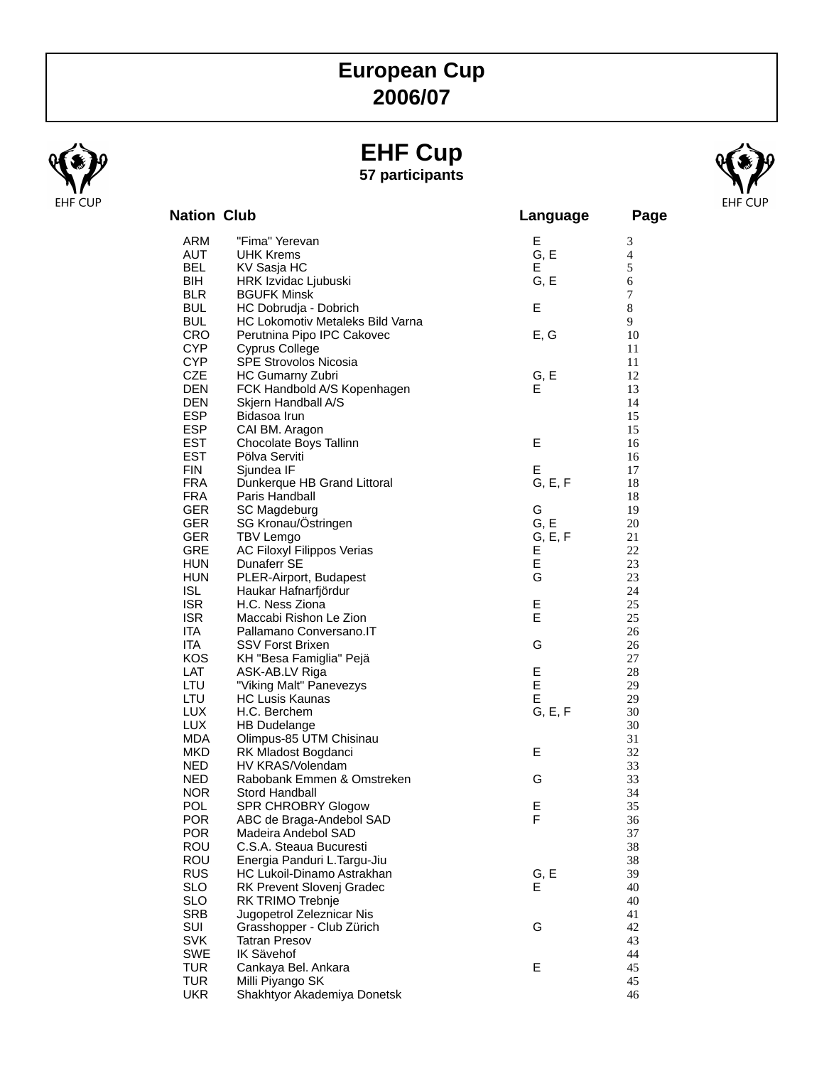## **European Cup 2006/07**

### **EHF Cup 57 participants**



| <b>Nation Club</b>       |                                                  | Language  | Page           |
|--------------------------|--------------------------------------------------|-----------|----------------|
| ARM                      | "Fima" Yerevan                                   | Е         | 3              |
| AUT                      | <b>UHK Krems</b>                                 | G, E      | $\overline{4}$ |
| <b>BEL</b>               | KV Sasja HC                                      | Е         | 5              |
| BIH                      | HRK Izvidac Ljubuski                             | G, E      | 6              |
| <b>BLR</b>               | <b>BGUFK Minsk</b>                               |           | $\overline{7}$ |
| <b>BUL</b>               | HC Dobrudja - Dobrich                            | Ε         | 8              |
| <b>BUL</b>               | HC Lokomotiv Metaleks Bild Varna                 |           | 9              |
| <b>CRO</b>               | Perutnina Pipo IPC Cakovec                       | E, G      | 10             |
| <b>CYP</b><br><b>CYP</b> | <b>Cyprus College</b>                            |           | 11             |
| <b>CZE</b>               | <b>SPE Strovolos Nicosia</b><br>HC Gumarny Zubri |           | 11<br>12       |
| <b>DEN</b>               | FCK Handbold A/S Kopenhagen                      | G, E<br>E | 13             |
| <b>DEN</b>               | Skjern Handball A/S                              |           | 14             |
| <b>ESP</b>               | Bidasoa Irun                                     |           | 15             |
| <b>ESP</b>               | CAI BM. Aragon                                   |           | 15             |
| <b>EST</b>               | Chocolate Boys Tallinn                           | E         | 16             |
| <b>EST</b>               | Pölva Serviti                                    |           | 16             |
| <b>FIN</b>               | Sjundea IF                                       | E         | 17             |
| <b>FRA</b>               | Dunkerque HB Grand Littoral                      | G, E, F   | 18             |
| <b>FRA</b>               | Paris Handball                                   |           | 18             |
| <b>GER</b>               | SC Magdeburg                                     | G         | 19             |
| <b>GER</b>               | SG Kronau/Östringen                              | G, E      | 20             |
| <b>GER</b>               | <b>TBV Lemgo</b>                                 | G, E, F   | 21             |
| <b>GRE</b>               | AC Filoxyl Filippos Verias                       | Е         | 22             |
| <b>HUN</b>               | Dunaferr SE                                      | E         | 23             |
| <b>HUN</b>               | PLER-Airport, Budapest                           | G         | 23             |
| <b>ISL</b><br><b>ISR</b> | Haukar Hafnarfjördur<br>H.C. Ness Ziona          | Е         | 24<br>25       |
| <b>ISR</b>               | Maccabi Rishon Le Zion                           | E         | 25             |
| ITA.                     | Pallamano Conversano. IT                         |           | 26             |
| <b>ITA</b>               | <b>SSV Forst Brixen</b>                          | G         | 26             |
| <b>KOS</b>               | KH "Besa Famiglia" Pejä                          |           | 27             |
| LAT                      | ASK-AB.LV Riga                                   | Е         | 28             |
| LTU                      | "Viking Malt" Panevezys                          | E         | 29             |
| LTU                      | <b>HC Lusis Kaunas</b>                           | E         | 29             |
| LUX.                     | H.C. Berchem                                     | G, E, F   | 30             |
| <b>LUX</b>               | HB Dudelange                                     |           | 30             |
| <b>MDA</b>               | Olimpus-85 UTM Chisinau                          |           | 31             |
| MKD.                     | RK Mladost Bogdanci                              | Е         | 32             |
| <b>NED</b>               | HV KRAS/Volendam                                 |           | 33             |
| <b>NED</b>               | Rabobank Emmen & Omstreken                       | G         | 33             |
| <b>NOR</b>               | Stord Handball                                   |           | 34             |
| <b>POL</b>               | SPR CHROBRY Glogow                               | E         | 35             |
| <b>POR</b>               | ABC de Braga-Andebol SAD<br>Madeira Andebol SAD  | F         | 36             |
| <b>POR</b><br><b>ROU</b> | C.S.A. Steaua Bucuresti                          |           | 37<br>38       |
| ROU                      | Energia Panduri L.Targu-Jiu                      |           | 38             |
| <b>RUS</b>               | HC Lukoil-Dinamo Astrakhan                       | G, E      | 39             |
| <b>SLO</b>               | <b>RK Prevent Slovenj Gradec</b>                 | Е         | 40             |
| <b>SLO</b>               | RK TRIMO Trebnje                                 |           | 40             |
| <b>SRB</b>               | Jugopetrol Zeleznicar Nis                        |           | 41             |
| SUI                      | Grasshopper - Club Zürich                        | G         | 42             |
| <b>SVK</b>               | <b>Tatran Presov</b>                             |           | 43             |
| <b>SWE</b>               | IK Sävehof                                       |           | 44             |
| <b>TUR</b>               | Cankaya Bel. Ankara                              | E         | 45             |
| <b>TUR</b>               | Milli Piyango SK                                 |           | 45             |
| <b>UKR</b>               | Shakhtyor Akademiya Donetsk                      |           | 46             |

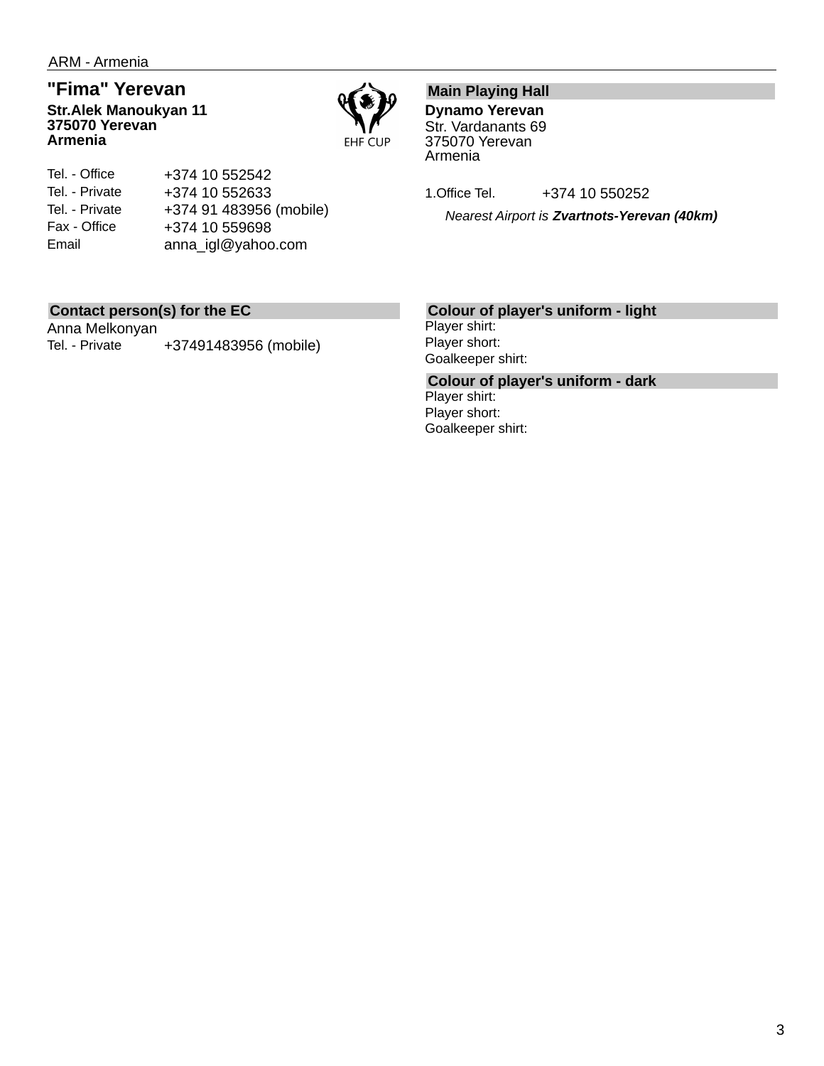## **"Fima" Yerevan**

**Str.Alek Manoukyan 11 375070 Yerevan Armenia**



Tel. - Office Tel. - Private Tel. - Private Fax - Office Email +374 10 552542 +374 10 552633 +374 91 483956 (mobile) +374 10 559698 anna\_igl@yahoo.com

### **Main Playing Hall**

**Dynamo Yerevan** Str. Vardanants 69 375070 Yerevan Armenia

1.Office Tel. +374 10 550252

*Nearest Airport is Zvartnots-Yerevan (40km)*

### **Contact person(s) for the EC**

Anna Melkonyan Tel. - Private +37491483956 (mobile)

### **Colour of player's uniform - light**

Player shirt: Player short: Goalkeeper shirt:

**Colour of player's uniform - dark** Player shirt: Player short: Goalkeeper shirt: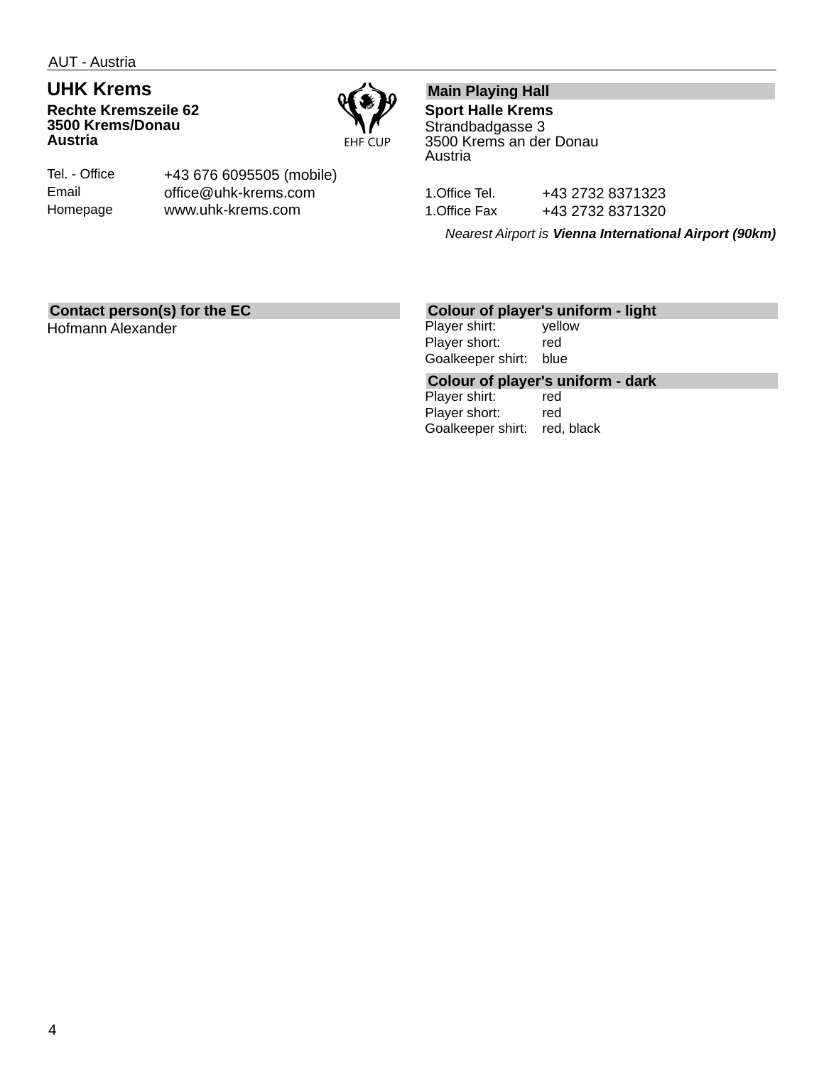### **UHK Krems Rechte Kremszeile 62 3500 Krems/Donau Austria**



Tel. - Office Email Homepage

+43 676 6095505 (mobile) office@uhk-krems.com www.uhk-krems.com

### **Main Playing Hall**

**Sport Halle Krems** Strandbadgasse 3 3500 Krems an der Donau Austria

1.Office Tel. +43 2732 8371323 1.Office Fax +43 2732 8371320

*Nearest Airport is Vienna International Airport (90km)*

### **Contact person(s) for the EC**

Hofmann Alexander

### **Colour of player's uniform - light**

Player shirt: yellow Player short: red Goalkeeper shirt: blue

## **Colour of player's uniform - dark**

Player shirt: Player short: red Goalkeeper shirt: red, black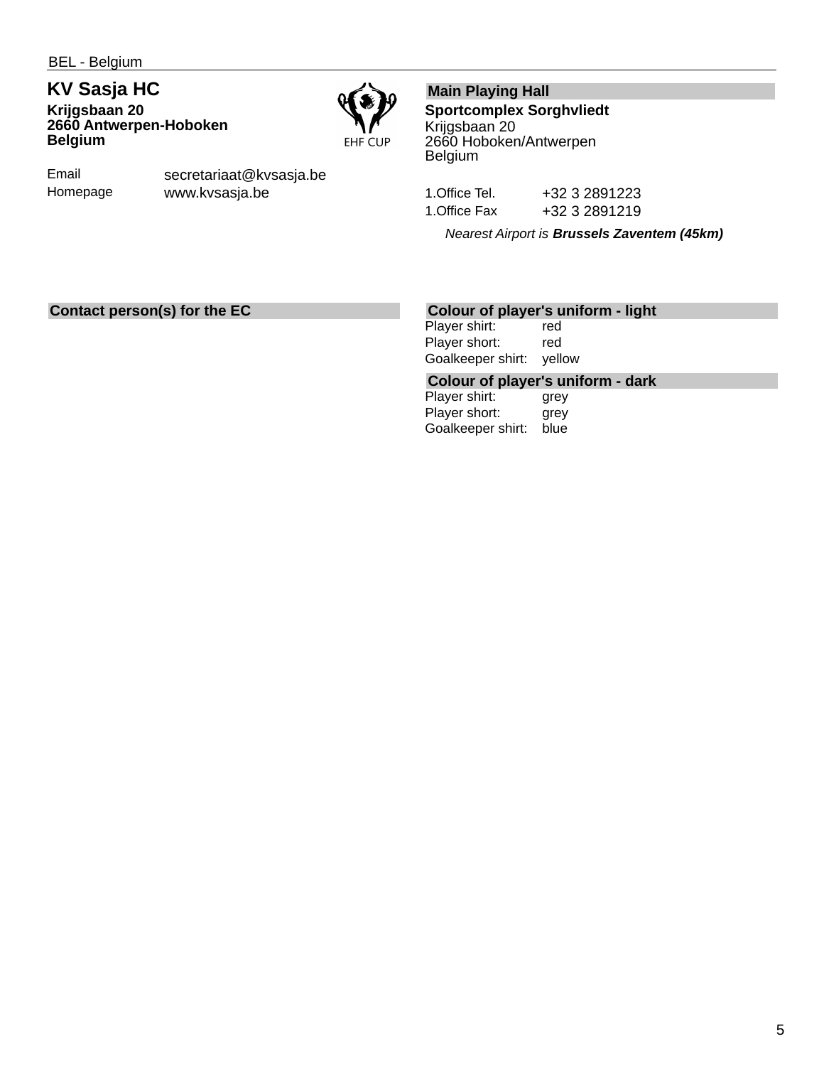**KV Sasja HC Krijgsbaan 20 2660 Antwerpen-Hoboken Belgium**



Email Homepage secretariaat@kvsasja.be www.kvsasja.be

### **Main Playing Hall**

**Sportcomplex Sorghvliedt** Krijgsbaan 20 2660 Hoboken/Antwerpen Belgium

1.Office Tel. +32 3 2891223 1.Office Fax +32 3 2891219

*Nearest Airport is Brussels Zaventem (45km)*

### **Contact person(s) for the EC**

### **Colour of player's uniform - light**

Player shirt: red Player short: red Goalkeeper shirt: yellow

#### **Colour of player's uniform - dark**

Player shirt: **grey** Player short: grey Goalkeeper shirt: blue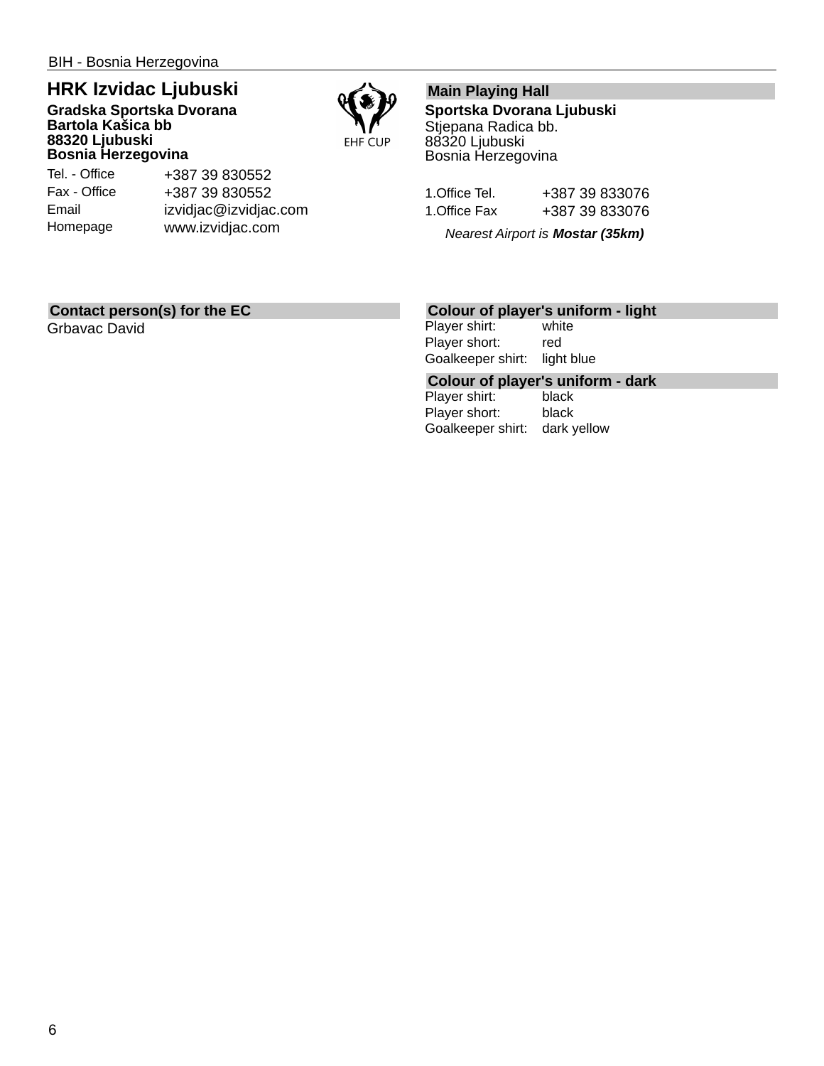## **HRK Izvidac Ljubuski**

#### **Gradska Sportska Dvorana Bartola Kašica bb 88320 Ljubuski Bosnia Herzegovina**



Tel. - Office Fax - Office Email Homepage

+387 39 830552 +387 39 830552 izvidjac@izvidjac.com www.izvidjac.com

### **Main Playing Hall**

**Sportska Dvorana Ljubuski** Stjepana Radica bb. 88320 Ljubuski Bosnia Herzegovina

| 1.Office Tel. | +387 39 833076 |
|---------------|----------------|
| 1.Office Fax  | +387 39 833076 |

*Nearest Airport is Mostar (35km)*

### **Contact person(s) for the EC**

Grbavac David

### **Colour of player's uniform - light**

Player shirt: white Player short: red Goalkeeper shirt: light blue

## **Colour of player's uniform - dark**

Player shirt: Player short: black Goalkeeper shirt: dark yellow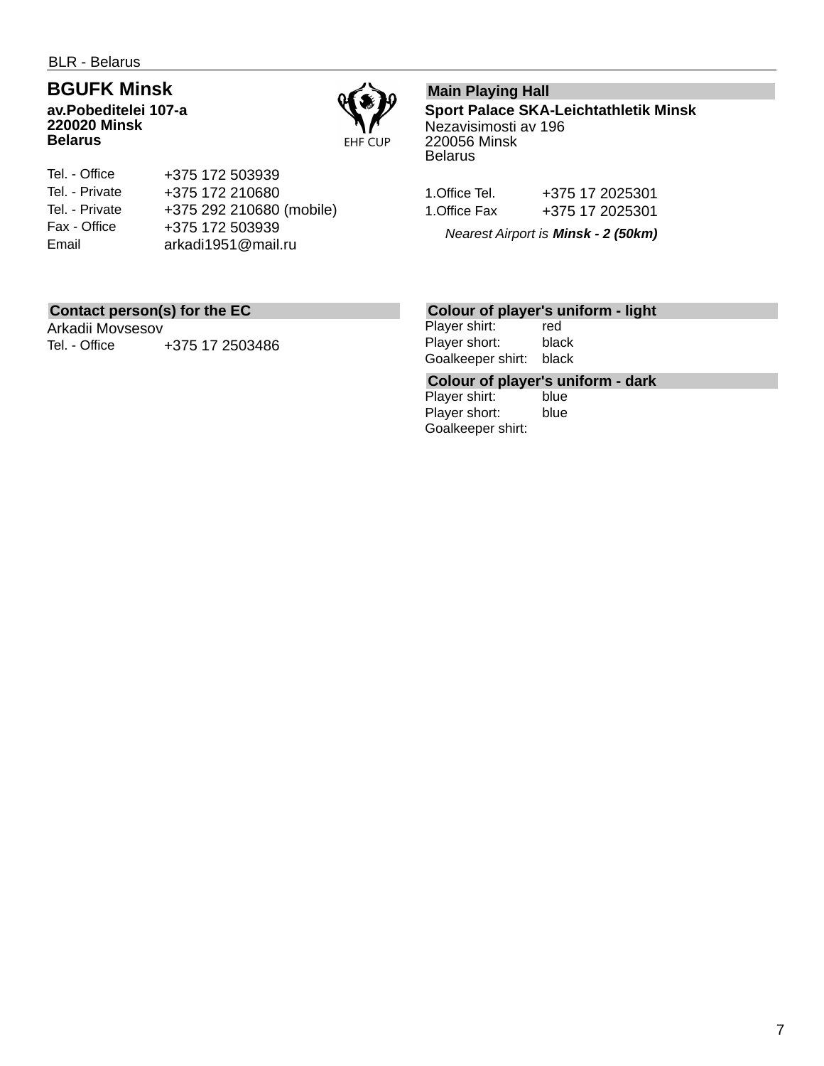BLR - Belarus

## **BGUFK Minsk**

**av.Pobeditelei 107-a 220020 Minsk Belarus**



Tel. - Office Tel. - Private Tel. - Private Fax - Office Email +375 172 503939 +375 172 210680 +375 292 210680 (mobile) +375 172 503939 arkadi1951@mail.ru

### **Main Playing Hall**

**Sport Palace SKA-Leichtathletik Minsk** Nezavisimosti av 196 220056 Minsk **Belarus** 

| 1.Office Tel. | +375 17 2025301 |
|---------------|-----------------|
| 1.Office Fax  | +375 17 2025301 |

*Nearest Airport is Minsk - 2 (50km)*

### **Contact person(s) for the EC**

Arkadii Movsesov Tel. - Office  $+375$  17 2503486

### **Colour of player's uniform - light**

Player shirt: red Player short: black Goalkeeper shirt: black

## **Colour of player's uniform - dark**

Player shirt: Player short: blue Goalkeeper shirt: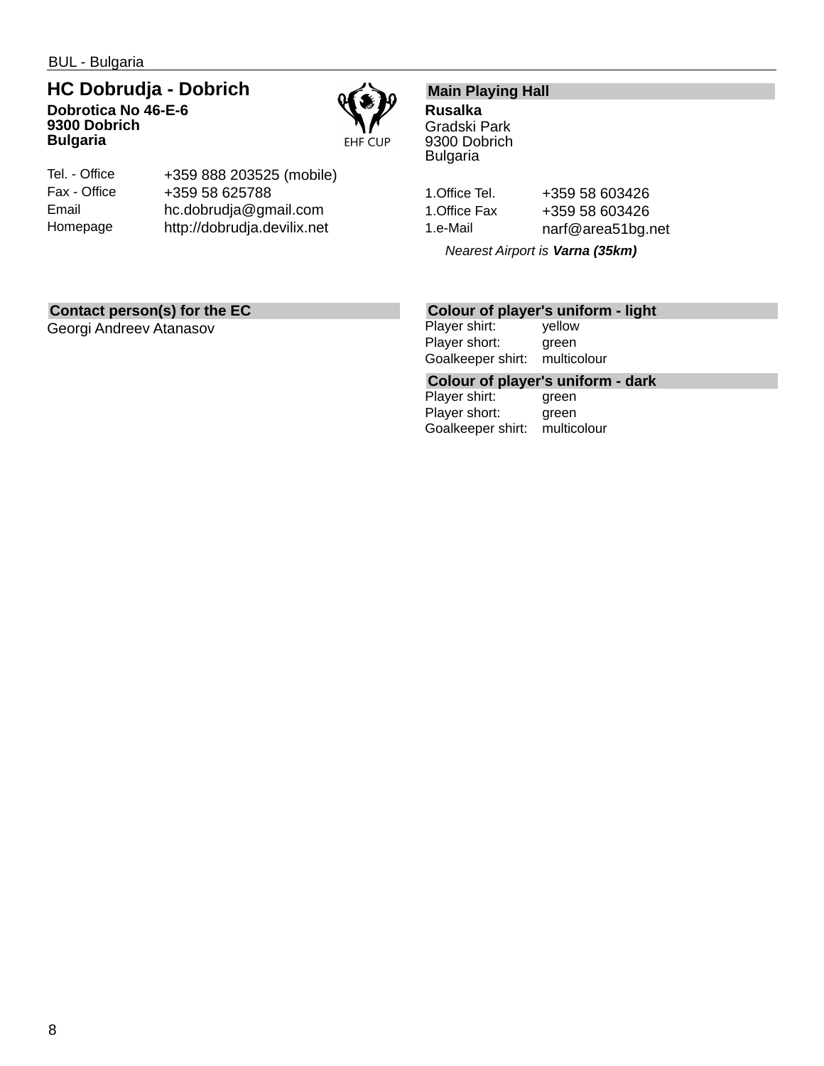BUL - Bulgaria

### **HC Dobrudja - Dobrich Dobrotica No 46-E-6 9300 Dobrich Bulgaria**



| Tel. - Office | +359 888 203525 (mobile)    |
|---------------|-----------------------------|
| Fax - Office  | +359 58 625788              |
| Email         | hc.dobrudja@gmail.com       |
| Homepage      | http://dobrudja.devilix.net |

### **Main Playing Hall**

**Rusalka** Gradski Park 9300 Dobrich Bulgaria

1.Office Tel. +359 58 603426 1.Office Fax +359 58 603426 1.e-Mail narf@area51bg.net

*Nearest Airport is Varna (35km)*

### **Contact person(s) for the EC**

Georgi Andreev Atanasov

### **Colour of player's uniform - light**

Player shirt: yellow Player short: green Goalkeeper shirt: multicolour

**Colour of player's uniform - dark**

Player shirt: Player short: green Goalkeeper shirt: multicolour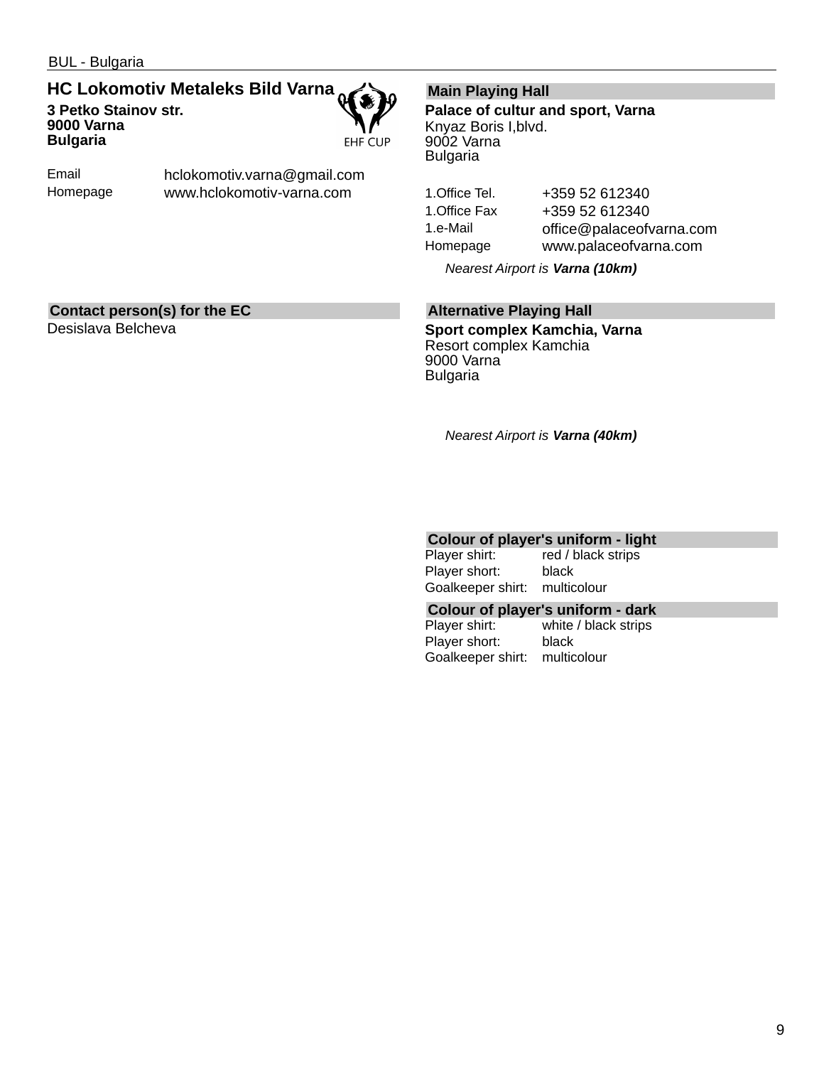### **HC Lokomotiv Metaleks Bild Varna 3 Petko Stainov str. 9000 Varna Bulgaria**



Email Homepage hclokomotiv.varna@gmail.com www.hclokomotiv-varna.com

### **Main Playing Hall**

**Palace of cultur and sport, Varna** Knyaz Boris I,blvd. 9002 Varna Bulgaria

1.Office Tel. +359 52 612340 1.Office Fax +359 52 612340 1.e-Mail office@palaceofvarna.com Homepage www.palaceofvarna.com

*Nearest Airport is Varna (10km)*

### **Contact person(s) for the EC**

Desislava Belcheva

### **Alternative Playing Hall**

**Sport complex Kamchia, Varna** Resort complex Kamchia 9000 Varna Bulgaria

*Nearest Airport is Varna (40km)*

# **Colour of player's uniform - light**<br>Player shirt: red / black strips

red / black strips Player short: black Goalkeeper shirt: multicolour

### **Colour of player's uniform - dark**

Player shirt: white / black strips Player short: black Goalkeeper shirt: multicolour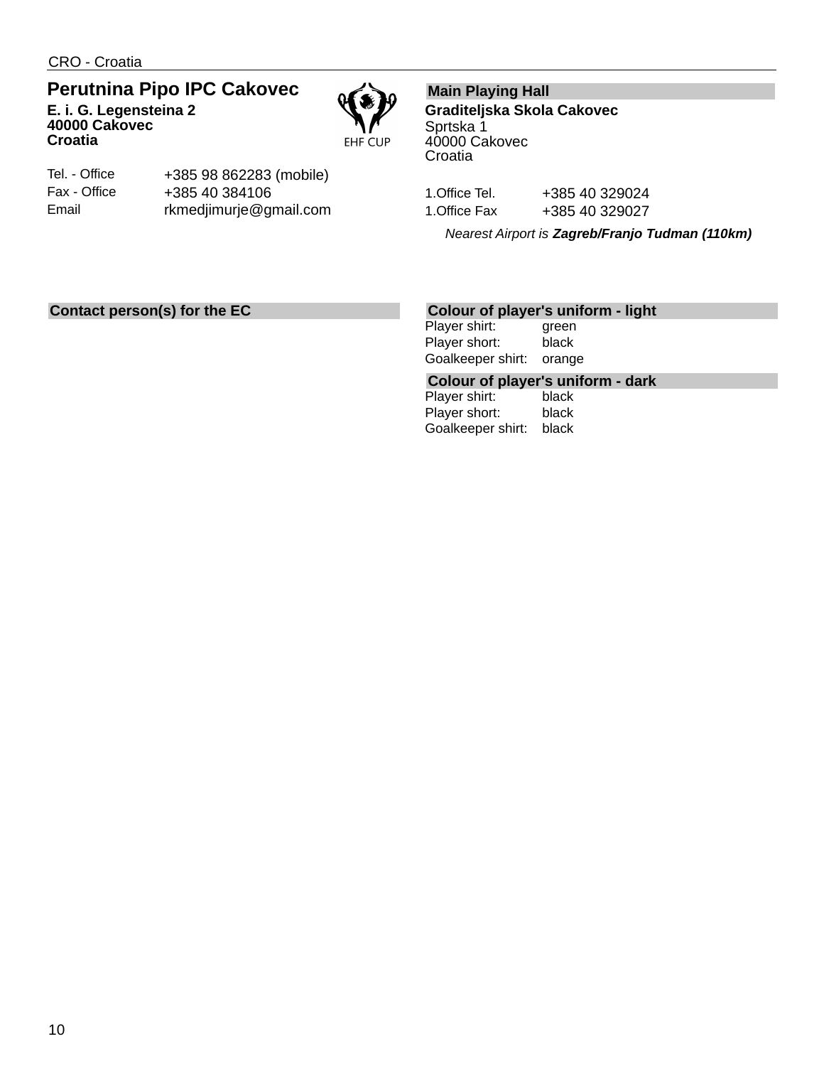CRO - Croatia

### **Perutnina Pipo IPC Cakovec E. i. G. Legensteina 2**



**Croatia** Tel. - Office

Fax - Office Email

**40000 Cakovec**

+385 98 862283 (mobile) +385 40 384106 rkmedjimurje@gmail.com

### **Main Playing Hall**

**Graditeljska Skola Cakovec** Sprtska 1 40000 Cakovec **Croatia** 

1.Office Tel. +385 40 329024 1. Office Fax +385 40 329027

*Nearest Airport is Zagreb/Franjo Tudman (110km)*

### **Contact person(s) for the EC**

### **Colour of player's uniform - light**

Player shirt: green Player short: black Goalkeeper shirt: orange

## **Colour of player's uniform - dark**

Player shirt: Player short: black Goalkeeper shirt: black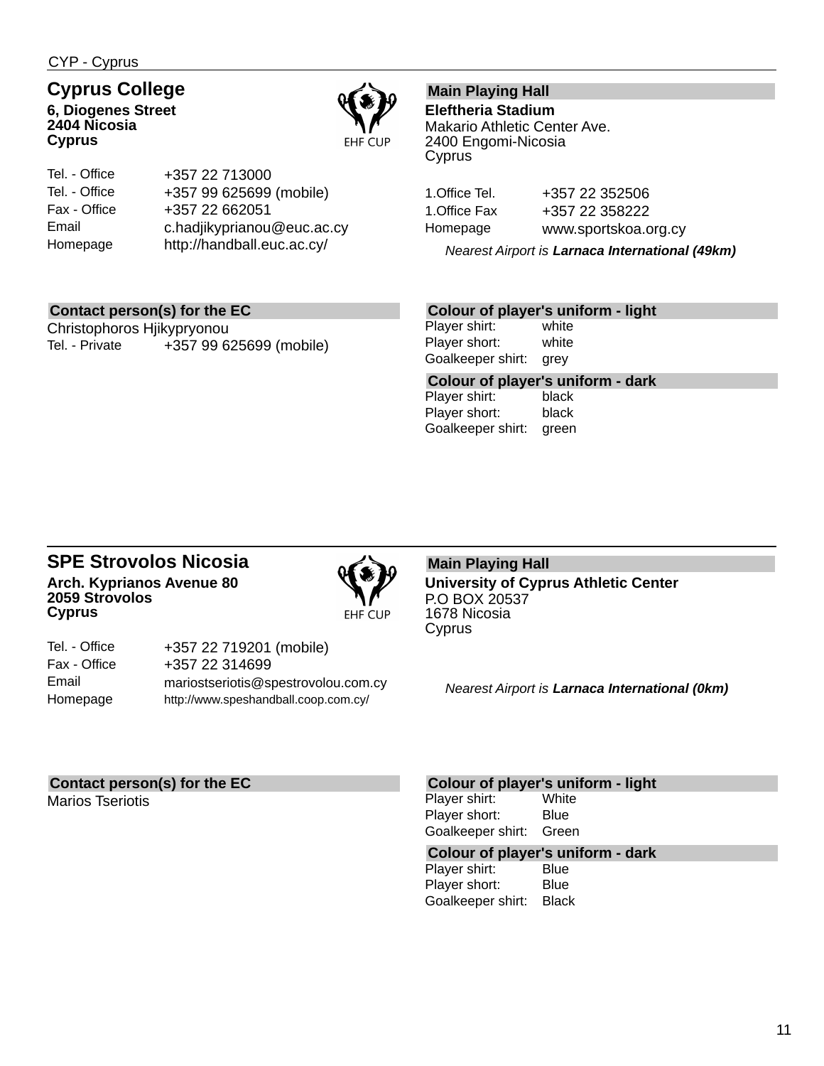CYP - Cyprus

### **Cyprus College**

**6, Diogenes Street 2404 Nicosia Cyprus**



| Tel. - Office | +357 22 713000             |
|---------------|----------------------------|
| Tel. - Office | +357 99 625699 (mobile)    |
| Fax - Office  | +357 22 662051             |
| Email         | c.hadjikyprianou@euc.ac.cy |
| Homepage      | http://handball.euc.ac.cy/ |

### **Main Playing Hall**

**Eleftheria Stadium** Makario Athletic Center Ave. 2400 Engomi-Nicosia Cyprus

1.Office Tel. +357 22 352506 1.Office Fax +357 22 358222 Homepage www.sportskoa.org.cy

*Nearest Airport is Larnaca International (49km)*

### **Contact person(s) for the EC**

Christophoros Hjikypryonou Tel. - Private +357 99 625699 (mobile)

### **Colour of player's uniform - light**

Player shirt: white Player short: white Goalkeeper shirt: grey

**Colour of player's uniform - dark** Player shirt:

Player short: black Goalkeeper shirt: green

### **SPE Strovolos Nicosia Arch. Kyprianos Avenue 80 2059 Strovolos Cyprus**



| Tel. - Office | +357 22 719201 (mobile)              |
|---------------|--------------------------------------|
| Fax - Office  | +357 22 314699                       |
| Email         | mariostseriotis@spestrovolou.com.cy  |
| Homepage      | http://www.speshandball.coop.com.cy/ |

#### **Main Playing Hall University of Cyprus Athletic Center** P.O BOX 20537 1678 Nicosia Cyprus

*Nearest Airport is Larnaca International (0km)*

### **Contact person(s) for the EC**

Marios Tseriotis

#### **Colour of player's uniform - light**

Player shirt: White Player short: Blue Goalkeeper shirt: Green

## **Colour of player's uniform - dark**

Player shirt: Player short: Blue Goalkeeper shirt: Black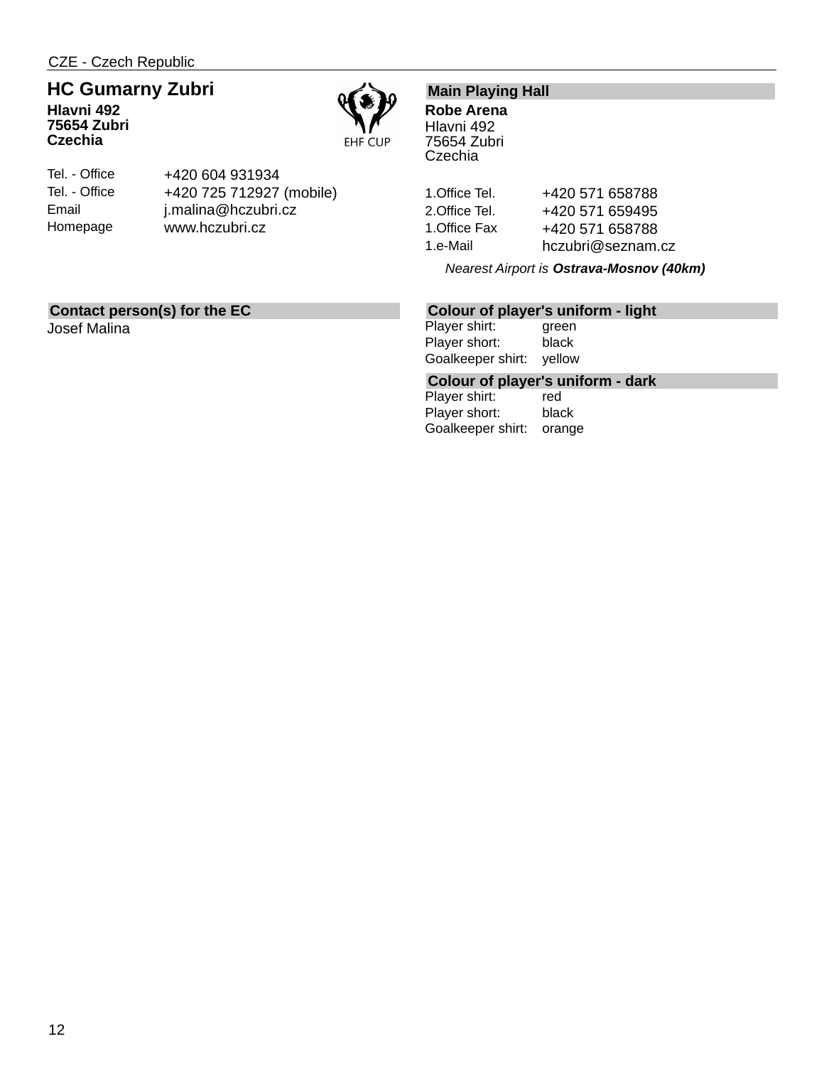## **HC Gumarny Zubri**

**Hlavni 492 75654 Zubri Czechia**



Tel. - Office Tel. - Office Email Homepage +420 604 931934 +420 725 712927 (mobile) j.malina@hczubri.cz www.hczubri.cz

### **Main Playing Hall**

**Robe Arena** Hlavni 492 75654 Zubri **Czechia** 

1. Office Tel. +420 571 658788 2. Office Tel. +420 571 659495 1. Office Fax +420 571 658788 1.e-Mail hczubri@seznam.cz

*Nearest Airport is Ostrava-Mosnov (40km)*

### **Contact person(s) for the EC**

Josef Malina

### **Colour of player's uniform - light**

Player shirt: green Player short: black Goalkeeper shirt: yellow

## **Colour of player's uniform - dark**

Player shirt: Player short: black Goalkeeper shirt: orange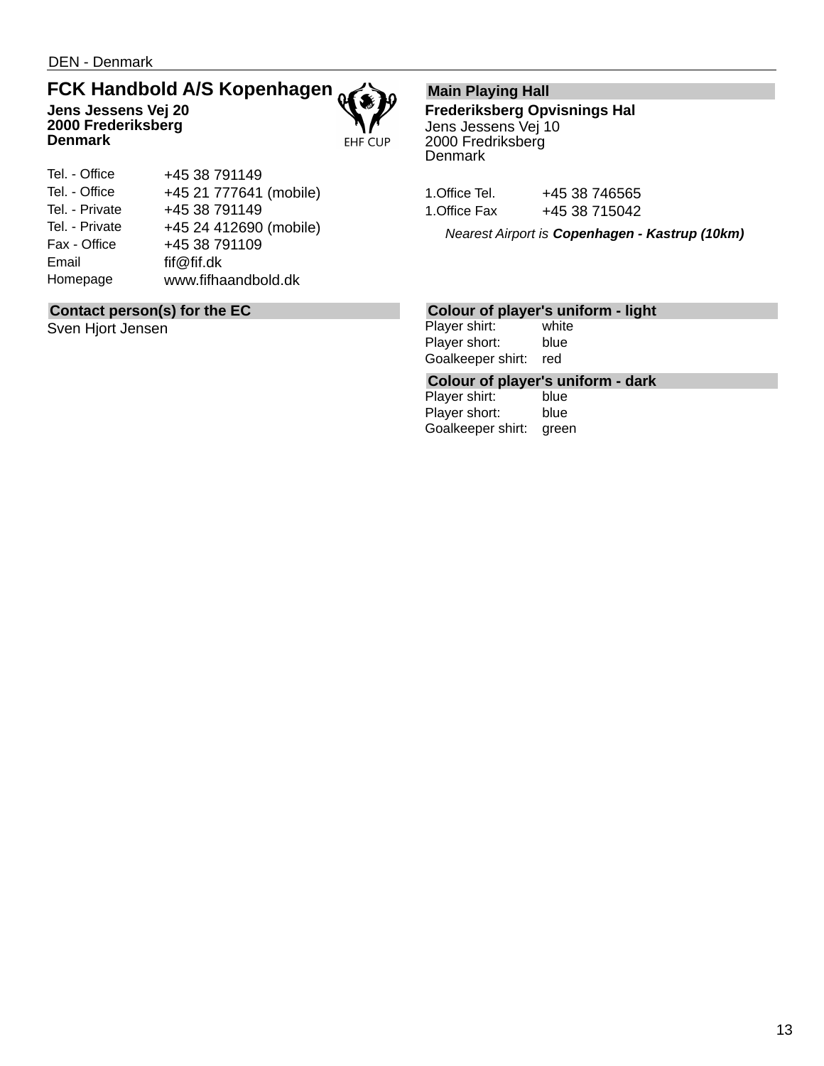### **FCK Handbold A/S Kopenhagen Jens Jessens Vej 20 2000 Frederiksberg Denmark**



### **Contact person(s) for the EC**

Sven Hjort Jensen

### **Main Playing Hall**

**Frederiksberg Opvisnings Hal** Jens Jessens Vej 10 2000 Fredriksberg **Denmark** 

| 1.Office Tel. | +45 38 746565 |
|---------------|---------------|
| 1.Office Fax  | +45 38 715042 |

*Nearest Airport is Copenhagen - Kastrup (10km)*

### **Colour of player's uniform - light**

Player shirt: white Player short: blue Goalkeeper shirt: red

## **Colour of player's uniform - dark**

Player shirt: Player short: blue Goalkeeper shirt: green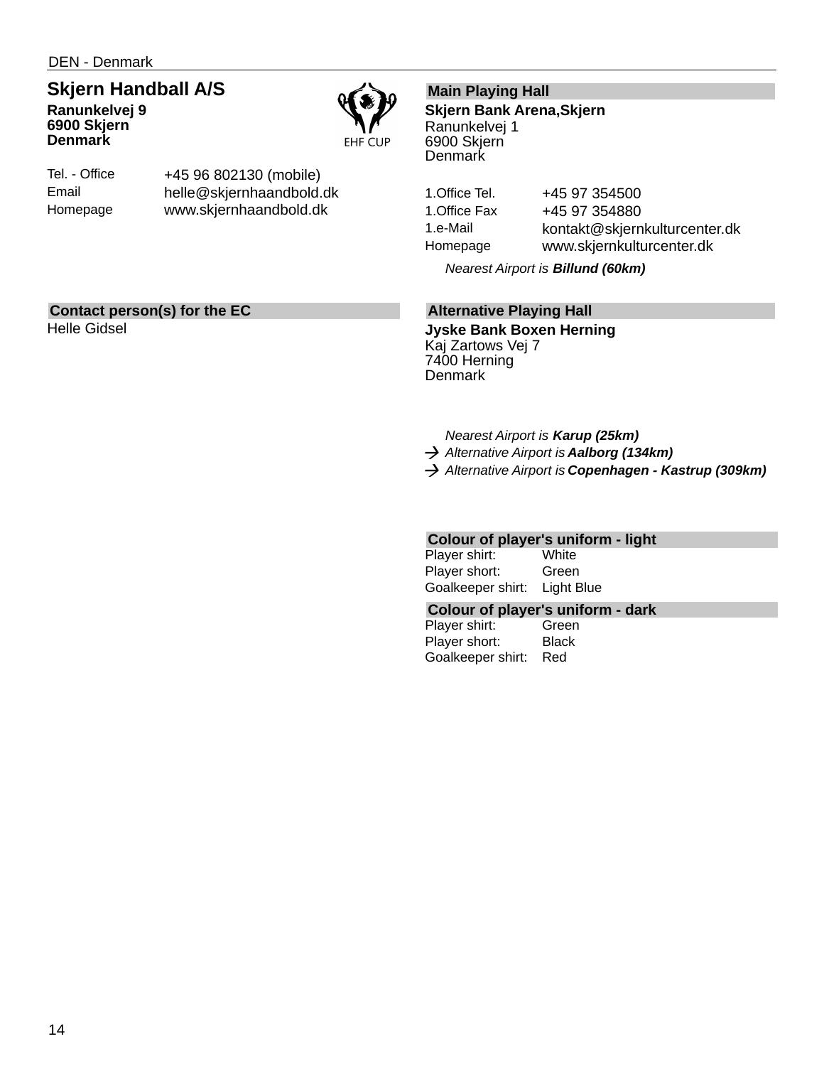DEN - Denmark

### **Skjern Handball A/S Ranunkelvej 9**

**6900 Skjern Denmark**



Tel. - Office Email Homepage +45 96 802130 (mobile) helle@skjernhaandbold.dk www.skjernhaandbold.dk

### **Main Playing Hall**

**Skjern Bank Arena,Skjern** Ranunkelvej 1 6900 Skjern **Denmark** 

1. Office Tel. +45 97 354500 1. Office Fax +45 97 354880 1.e-Mail kontakt@skjernkulturcenter.dk Homepage www.skjernkulturcenter.dk

*Nearest Airport is Billund (60km)*

### **Alternative Playing Hall**

**Jyske Bank Boxen Herning** Kaj Zartows Vej 7 7400 Herning **Denmark** 

*Nearest Airport is Karup (25km)*

- *Alternative Airport is Aalborg (134km)*
- *Alternative Airport is Copenhagen Kastrup (309km)*

### **Colour of player's uniform - light**

| Player shirt:     | White      |
|-------------------|------------|
| Player short:     | Green      |
| Goalkeeper shirt: | Light Blue |

#### **Colour of player's uniform - dark**

Player shirt: Green Player short: Black Goalkeeper shirt: Red

**Contact person(s) for the EC**

Helle Gidsel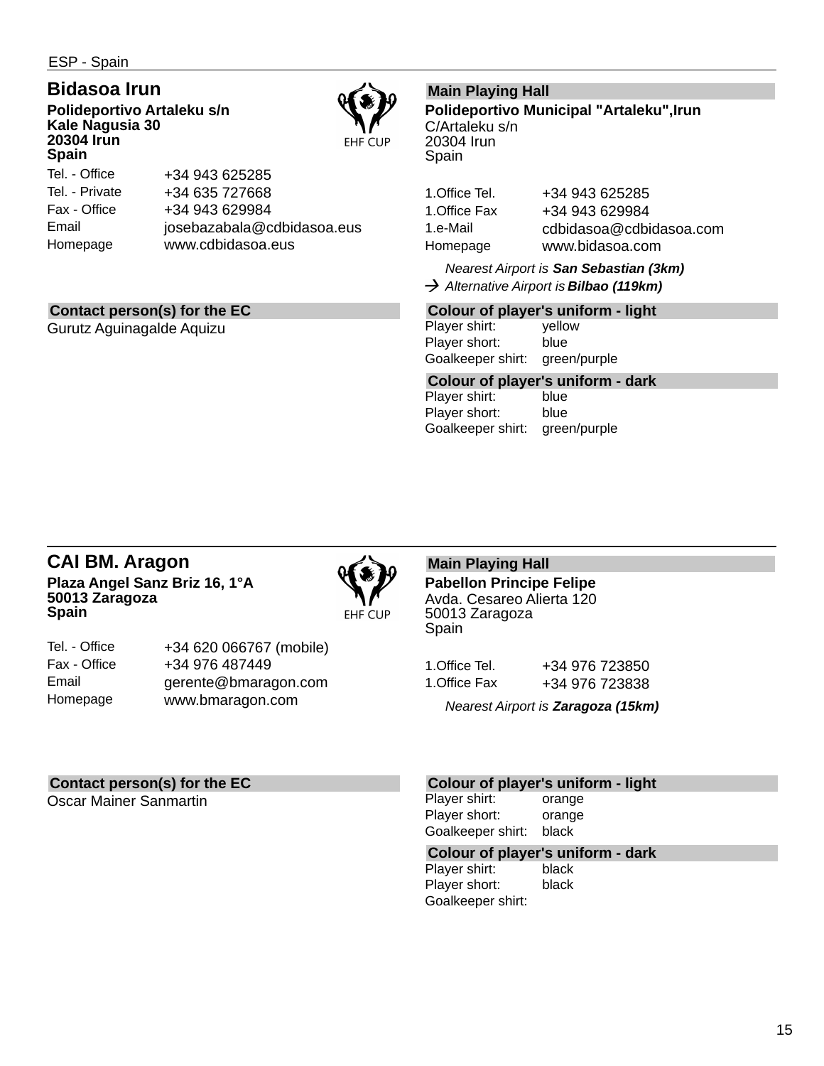ESP - Spain

### **Bidasoa Irun**

**Polideportivo Artaleku s/n Kale Nagusia 30 20304 Irun Spain**



Tel. - Office Tel. - Private Fax - Office Email Homepage +34 943 625285 +34 635 727668 +34 943 629984 josebazabala@cdbidasoa.eus www.cdbidasoa.eus

### **Contact person(s) for the EC**

Gurutz Aguinagalde Aquizu

### **Main Playing Hall**

**Polideportivo Municipal "Artaleku",Irun** C/Artaleku s/n 20304 Irun Spain

1.Office Tel. +34 943 625285 1.Office Fax +34 943 629984 1.e-Mail cdbidasoa@cdbidasoa.com Homepage www.bidasoa.com

*Nearest Airport is San Sebastian (3km) Alternative Airport is Bilbao (119km)*

### **Colour of player's uniform - light**

Player shirt: yellow Player short: blue Goalkeeper shirt: green/purple

## **Colour of player's uniform - dark**

Player shirt: Player short: blue Goalkeeper shirt: green/purple

### **CAI BM. Aragon Plaza Angel Sanz Briz 16, 1°A 50013 Zaragoza Spain**



| Tel. - Office | +34 620 066767 (mobile) |
|---------------|-------------------------|
| Fax - Office  | +34 976 487449          |
| Email         | gerente@bmaragon.com    |
| Homepage      | www.bmaragon.com        |

### **Main Playing Hall**

**Pabellon Principe Felipe** Avda. Cesareo Alierta 120 50013 Zaragoza Spain

| 1.Office Tel. | +34 976 723850 |
|---------------|----------------|
| 1.Office Fax  | +34 976 723838 |

*Nearest Airport is Zaragoza (15km)*

### **Contact person(s) for the EC**

Oscar Mainer Sanmartin

#### **Colour of player's uniform - light**

Player shirt: orange Player short: orange Goalkeeper shirt: black

## **Colour of player's uniform - dark**

Player shirt: Player short: black Goalkeeper shirt: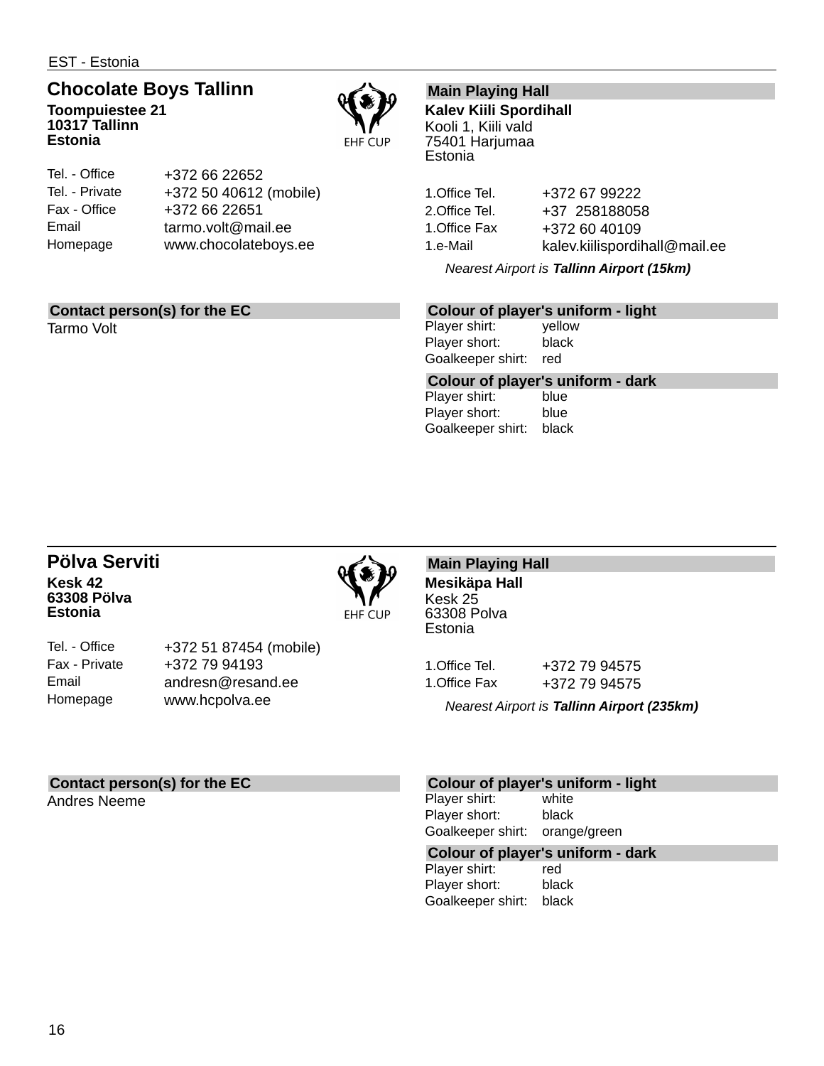EST - Estonia

## **Chocolate Boys Tallinn**

**Toompuiestee 21 10317 Tallinn Estonia**



| Tel. - Office  | +372 66 22652          |
|----------------|------------------------|
| Tel. - Private | +372 50 40612 (mobile) |
| Fax - Office   | +372 66 22651          |
| Email          | tarmo.volt@mail.ee     |
| Homepage       | www.chocolateboys.ee   |
|                |                        |

### **Contact person(s) for the EC**

Tarmo Volt

### **Main Playing Hall**

**Kalev Kiili Spordihall** Kooli 1, Kiili vald 75401 Harjumaa **Estonia** 

1.Office Tel. +372 67 99222 2.Office Tel. +37 258188058 1.Office Fax +372 60 40109 1.e-Mail kalev.kiilispordihall@mail.ee

*Nearest Airport is Tallinn Airport (15km)*

### **Colour of player's uniform - light**

Player shirt: yellow Player short: black Goalkeeper shirt: red

**Colour of player's uniform - dark** Player shirt:

Player short: blue Goalkeeper shirt: black

### **Pölva Serviti Kesk 42 63308 Pölva Estonia**



Tel. - Office Fax - Private Email Homepage

+372 51 87454 (mobile) +372 79 94193 andresn@resand.ee www.hcpolva.ee

### **Main Playing Hall Mesikäpa Hall**

Kesk 25 63308 Polva **Estonia** 

1.Office Tel. +372 79 94575 1.Office Fax +372 79 94575

*Nearest Airport is Tallinn Airport (235km)*

### **Contact person(s) for the EC**

Andres Neeme

### **Colour of player's uniform - light**

Player shirt: white Player short: black Goalkeeper shirt: orange/green

### **Colour of player's uniform - dark**

Player shirt: red Player short: black Goalkeeper shirt: black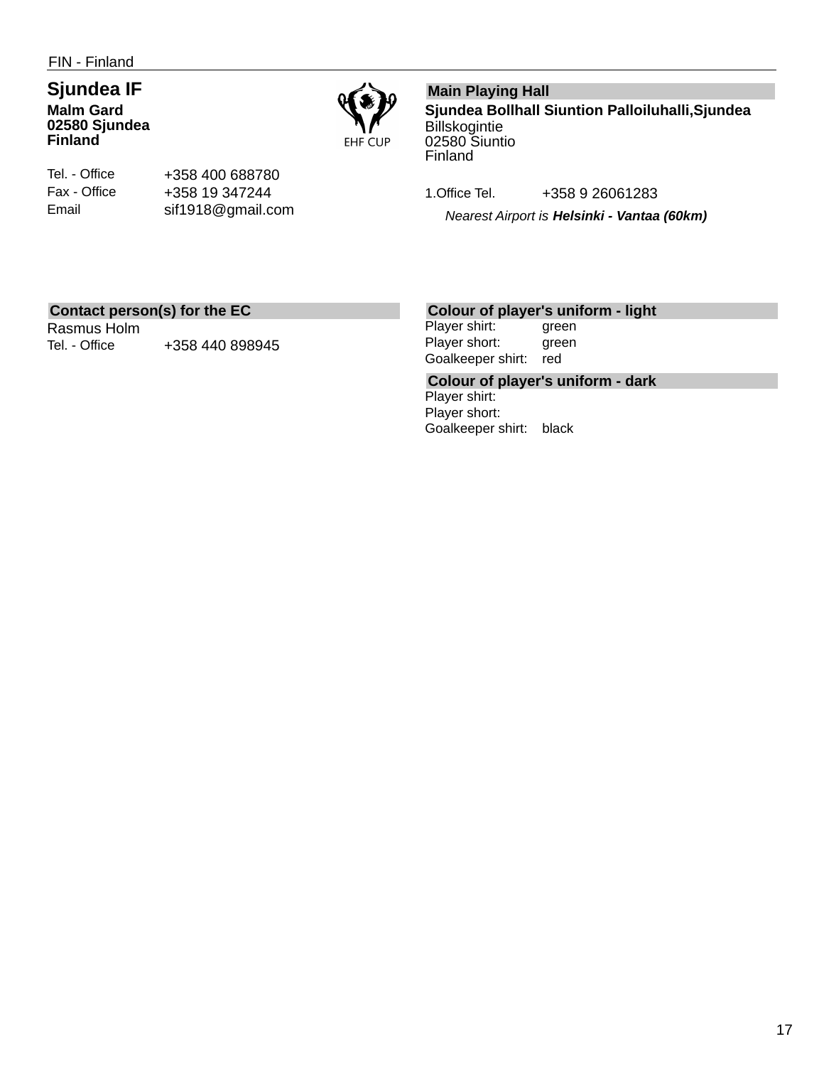FIN - Finland

### **Sjundea IF Malm Gard 02580 Sjundea Finland**



Tel. - Office Fax - Office Email

+358 400 688780 +358 19 347244 sif1918@gmail.com

### **Main Playing Hall**

**Sjundea Bollhall Siuntion Palloiluhalli,Sjundea Billskogintie** 02580 Siuntio Finland

1.Office Tel. +358 9 26061283

*Nearest Airport is Helsinki - Vantaa (60km)*

### **Contact person(s) for the EC**

Rasmus Holm Tel. - Office  $+358$  440 898945

### **Colour of player's uniform - light**

Player shirt: green Player short: green Goalkeeper shirt: red

**Colour of player's uniform - dark** Player shirt: Player short: Goalkeeper shirt: black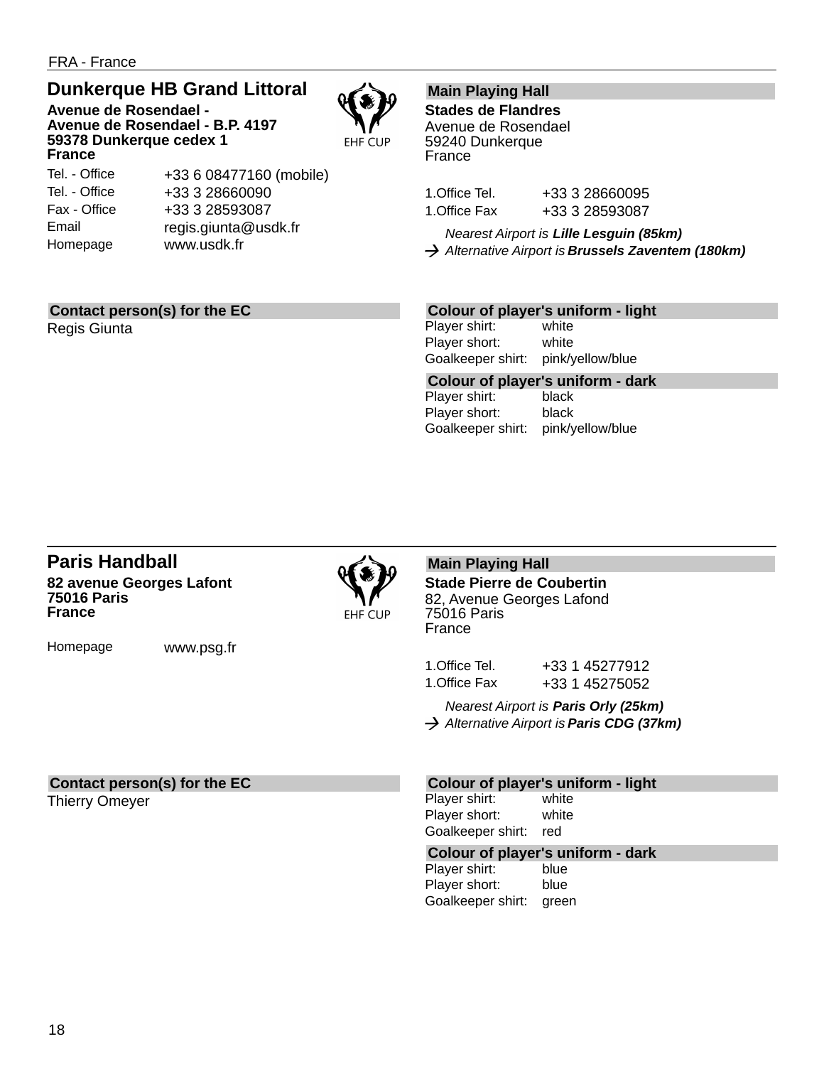### **Dunkerque HB Grand Littoral**

**Avenue de Rosendael - Avenue de Rosendael - B.P. 4197 59378 Dunkerque cedex 1 France**



Tel. - Office Tel. - Office Fax - Office Email Homepage

+33 6 08477160 (mobile) +33 3 28660090 +33 3 28593087 regis.giunta@usdk.fr www.usdk.fr

### **Main Playing Hall**

**Stades de Flandres** Avenue de Rosendael 59240 Dunkerque France

| 1.Office Tel. | +33 3 28660095 |
|---------------|----------------|
| 1.Office Fax  | +33 3 28593087 |

*Nearest Airport is Lille Lesguin (85km) Alternative Airport is Brussels Zaventem (180km)*

### **Contact person(s) for the EC**

Regis Giunta

### **Colour of player's uniform - light**

Player shirt: white Player short: white Goalkeeper shirt: pink/yellow/blue

**Colour of player's uniform - dark** Player shirt: Player short: black Goalkeeper shirt: pink/yellow/blue

### **Paris Handball 82 avenue Georges Lafont 75016 Paris France**

Homepage www.psg.fr

**EHF CUP** 

**Main Playing Hall Stade Pierre de Coubertin** 82, Avenue Georges Lafond 75016 Paris France

1.Office Tel. +33 1 45277912 1.Office Fax +33 1 45275052

*Nearest Airport is Paris Orly (25km) Alternative Airport is Paris CDG (37km)*

### **Contact person(s) for the EC**

Thierry Omeyer

### **Colour of player's uniform - light**

Player shirt: white Player short: white Goalkeeper shirt: red

## **Colour of player's uniform - dark**

Player shirt: Player short: blue Goalkeeper shirt: green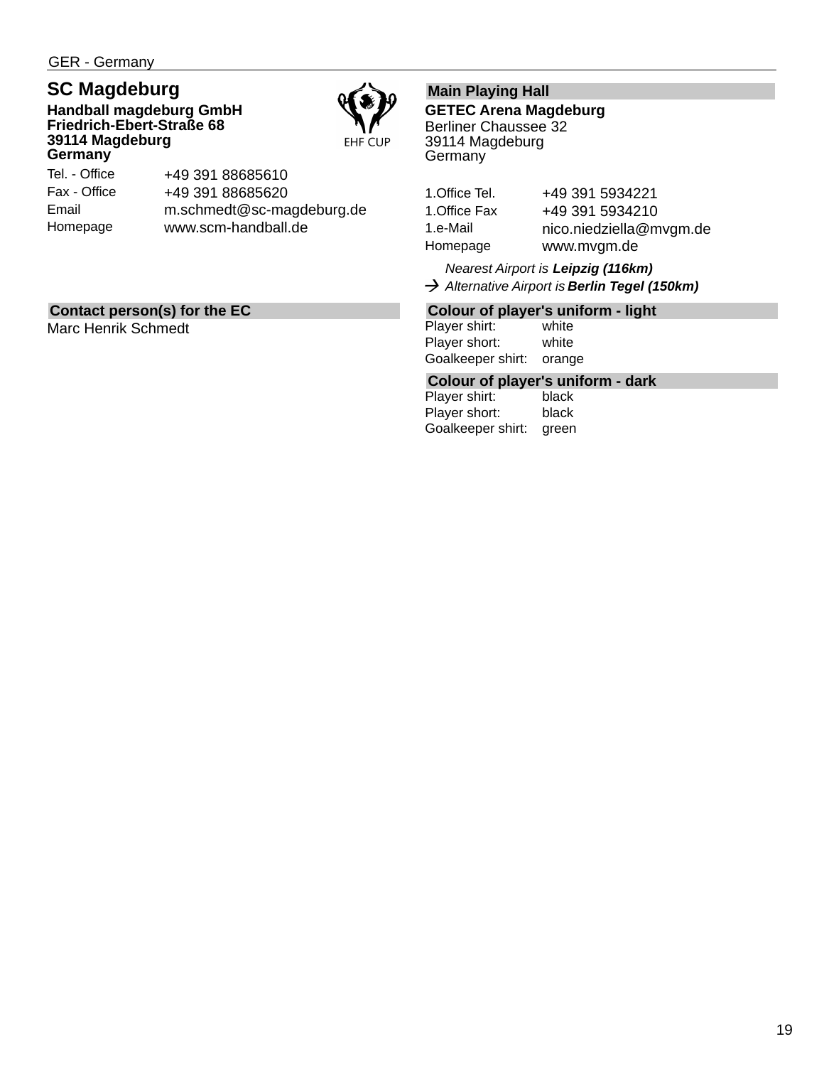GER - Germany

### **SC Magdeburg**

**Handball magdeburg GmbH Friedrich-Ebert-Straße 68 39114 Magdeburg Germany**



Tel. - Office Fax - Office Email Homepage +49 391 88685610 +49 391 88685620 m.schmedt@sc-magdeburg.de www.scm-handball.de

### **Contact person(s) for the EC**

Marc Henrik Schmedt

### **Main Playing Hall**

**GETEC Arena Magdeburg** Berliner Chaussee 32 39114 Magdeburg **Germany** 

| 1.Office Tel. | +49 391 5934221         |
|---------------|-------------------------|
| 1.Office Fax  | +49 391 5934210         |
| 1.e-Mail      | nico.niedziella@mvgm.de |
| Homepage      | www.mvgm.de             |

*Nearest Airport is Leipzig (116km) Alternative Airport is Berlin Tegel (150km)*

### **Colour of player's uniform - light**

Player shirt: white Player short: white Goalkeeper shirt: orange

## **Colour of player's uniform - dark**

Player shirt: Player short: black Goalkeeper shirt: green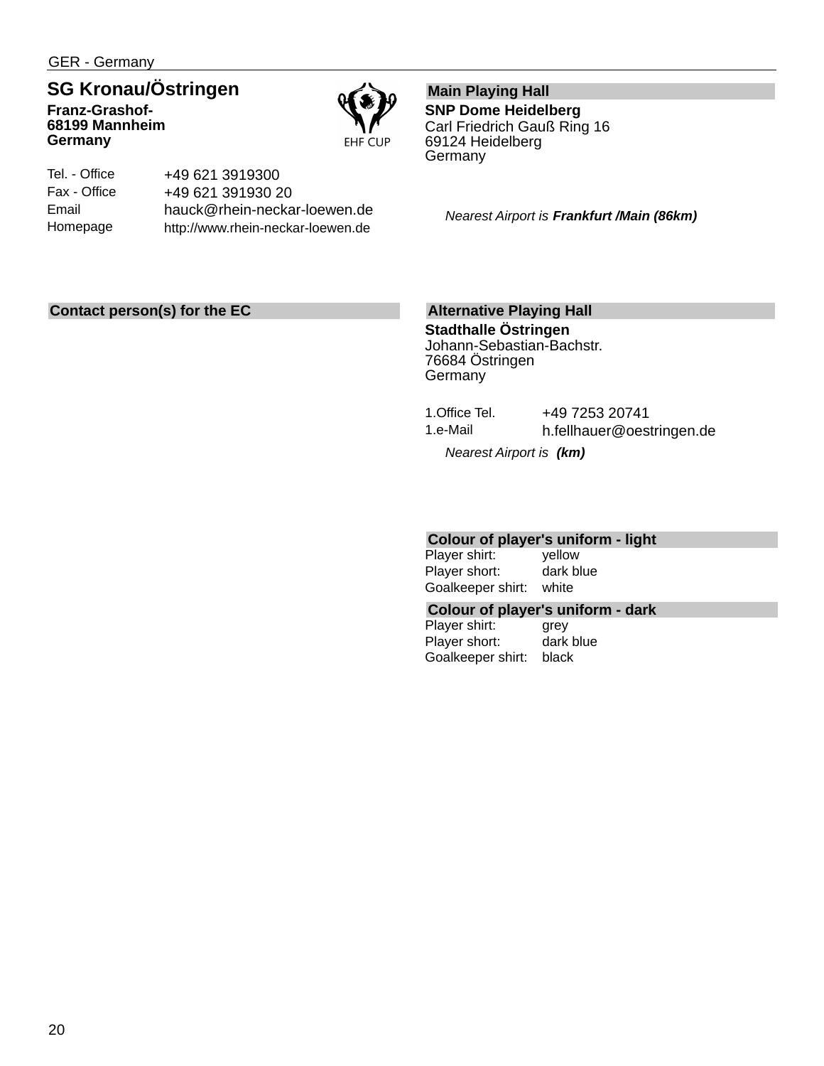GER - Germany

## **SG Kronau/Östringen**

**Franz-Grashof-68199 Mannheim Germany**



Tel. - Office Fax - Office Email Homepage +49 621 3919300 +49 621 391930 20 hauck@rhein-neckar-loewen.de http://www.rhein-neckar-loewen.de

**Main Playing Hall SNP Dome Heidelberg** Carl Friedrich Gauß Ring 16 69124 Heidelberg **Germany** 

*Nearest Airport is Frankfurt /Main (86km)*

### **Contact person(s) for the EC**

### **Alternative Playing Hall**

**Stadthalle Östringen** Johann-Sebastian-Bachstr. 76684 Östringen **Germany** 

| 1.Office Tel. | +49 7253 20741            |
|---------------|---------------------------|
| 1.e-Mail      | h.fellhauer@oestringen.de |
|               |                           |

*Nearest Airport is (km)*

### **Colour of player's uniform - light**

Player shirt: yellow Player short: dark blue Goalkeeper shirt: white

#### **Colour of player's uniform - dark**

Player shirt: grey Player short: dark blue Goalkeeper shirt: black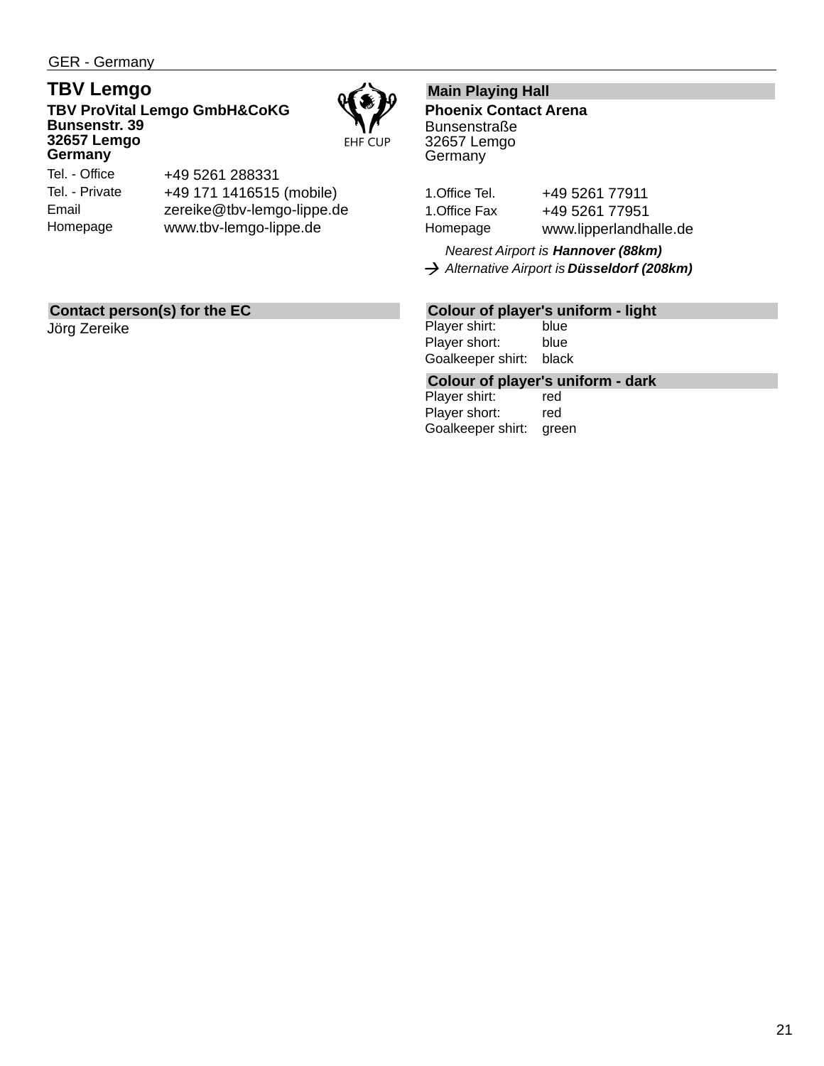GER - Germany

### **TBV Lemgo**

**TBV ProVital Lemgo GmbH&CoKG Bunsenstr. 39 32657 Lemgo Germany**



Tel. - Office Tel. - Private Email Homepage

+49 5261 288331 +49 171 1416515 (mobile) zereike@tbv-lemgo-lippe.de www.tbv-lemgo-lippe.de

### **Contact person(s) for the EC**

Jörg Zereike

### **Main Playing Hall**

**Phoenix Contact Arena Bunsenstraße** 32657 Lemgo **Germany** 

1. Office Tel. +49 5261 77911 1. Office Fax +49 5261 77951 Homepage www.lipperlandhalle.de

*Nearest Airport is Hannover (88km) Alternative Airport is Düsseldorf (208km)*

### **Colour of player's uniform - light**

Player shirt: blue Player short: blue Goalkeeper shirt: black

**Colour of player's uniform - dark**

Player shirt: red Player short: red Goalkeeper shirt: green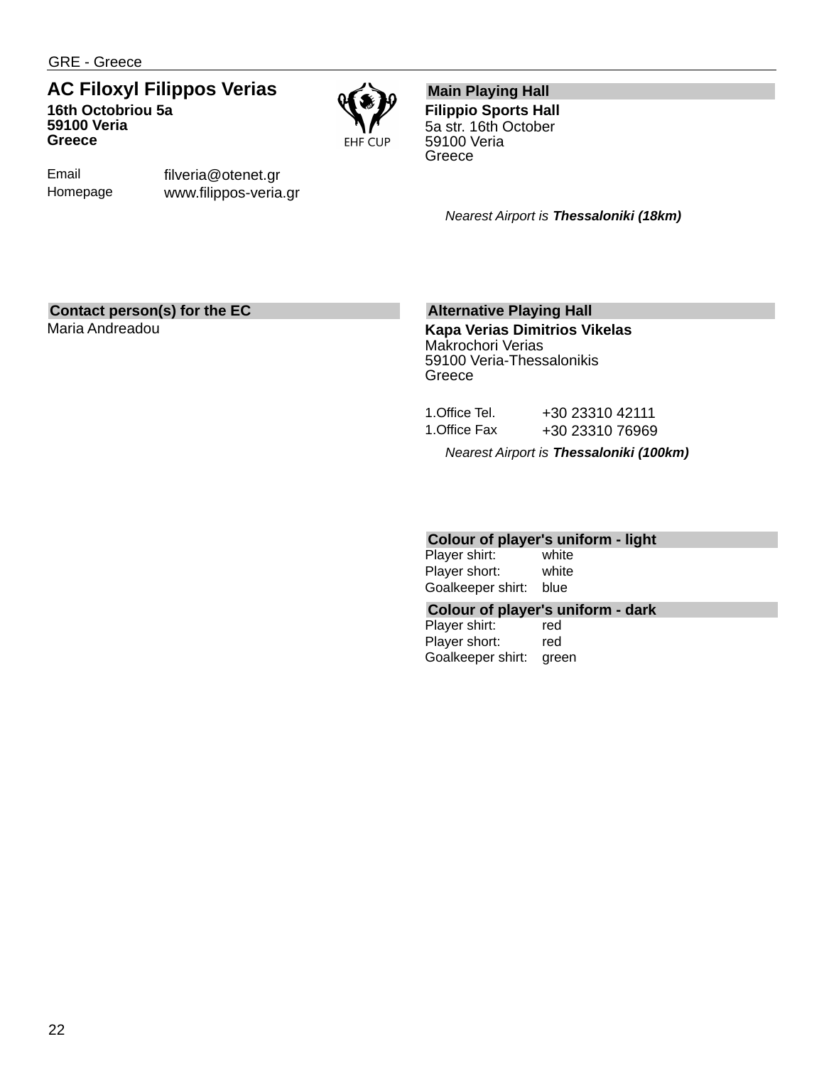GRE - Greece

### **AC Filoxyl Filippos Verias 16th Octobriou 5a 59100 Veria Greece**



Email Homepage filveria@otenet.gr www.filippos-veria.gr

### **Main Playing Hall**

**Filippio Sports Hall** 5a str. 16th October 59100 Veria **Greece** 

*Nearest Airport is Thessaloniki (18km)*

### **Contact person(s) for the EC**

Maria Andreadou

### **Alternative Playing Hall**

**Kapa Verias Dimitrios Vikelas** Makrochori Verias 59100 Veria-Thessalonikis **Greece** 

|               | Nearest Airport is Thessaloniki (100km) |
|---------------|-----------------------------------------|
| 1.Office Fax  | +30 23310 76969                         |
| 1.Office Tel. | +30 23310 42111                         |

## **Colour of player's uniform - light**

Player shirt: Player short: white Goalkeeper shirt: blue

### **Colour of player's uniform - dark**

Player shirt: red Player short: red Goalkeeper shirt: green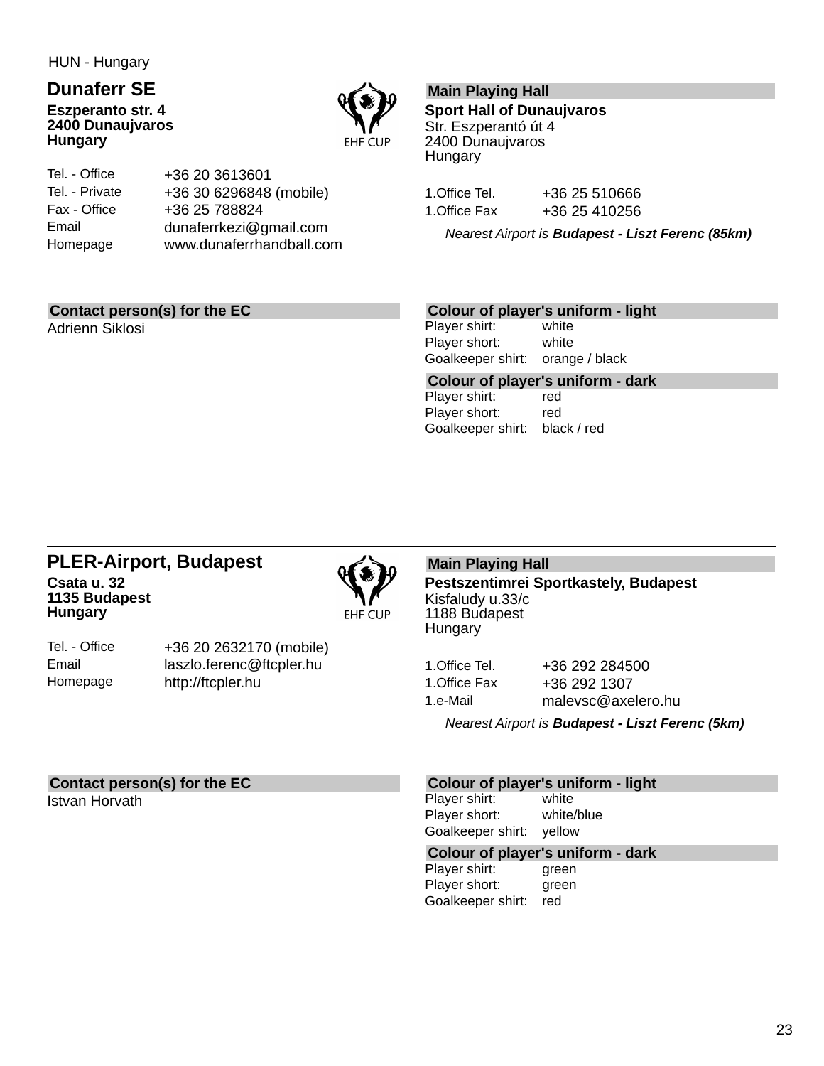HUN - Hungary

### **Dunaferr SE Eszperanto str. 4 2400 Dunaujvaros Hungary**



Tel. - Office Tel. - Private Fax - Office Email Homepage +36 20 3613601 +36 30 6296848 (mobile) +36 25 788824 dunaferrkezi@gmail.com www.dunaferrhandball.com

### **Main Playing Hall**

**Sport Hall of Dunaujvaros** Str. Eszperantó út 4 2400 Dunaujvaros **Hungary** 

1. Office Tel. +36 25 510666 1. Office Fax +36 25 410256

*Nearest Airport is Budapest - Liszt Ferenc (85km)*

### **Contact person(s) for the EC**

Adrienn Siklosi

### **Colour of player's uniform - light**

Player shirt: white Player short: white Goalkeeper shirt: orange / black

**Colour of player's uniform - dark** Player shirt: red Player short: red Goalkeeper shirt: black / red

### **PLER-Airport, Budapest Csata u. 32 1135 Budapest Hungary**



**EHF CUP** 

Tel. - Office Email Homepage

+36 20 2632170 (mobile) laszlo.ferenc@ftcpler.hu http://ftcpler.hu

### **Main Playing Hall**

**Pestszentimrei Sportkastely, Budapest** Kisfaludy u.33/c 1188 Budapest Hungary

| 1.Office Tel. | +36 292 284500     |
|---------------|--------------------|
| 1.Office Fax  | +36 292 1307       |
| 1.e-Mail      | malevsc@axelero.hu |

*Nearest Airport is Budapest - Liszt Ferenc (5km)*

#### **Contact person(s) for the EC**

Istvan Horvath

#### **Colour of player's uniform - light**

Player shirt: white Player short: white/blue Goalkeeper shirt: yellow

#### **Colour of player's uniform - dark**

Player shirt: **green** Player short: green Goalkeeper shirt: red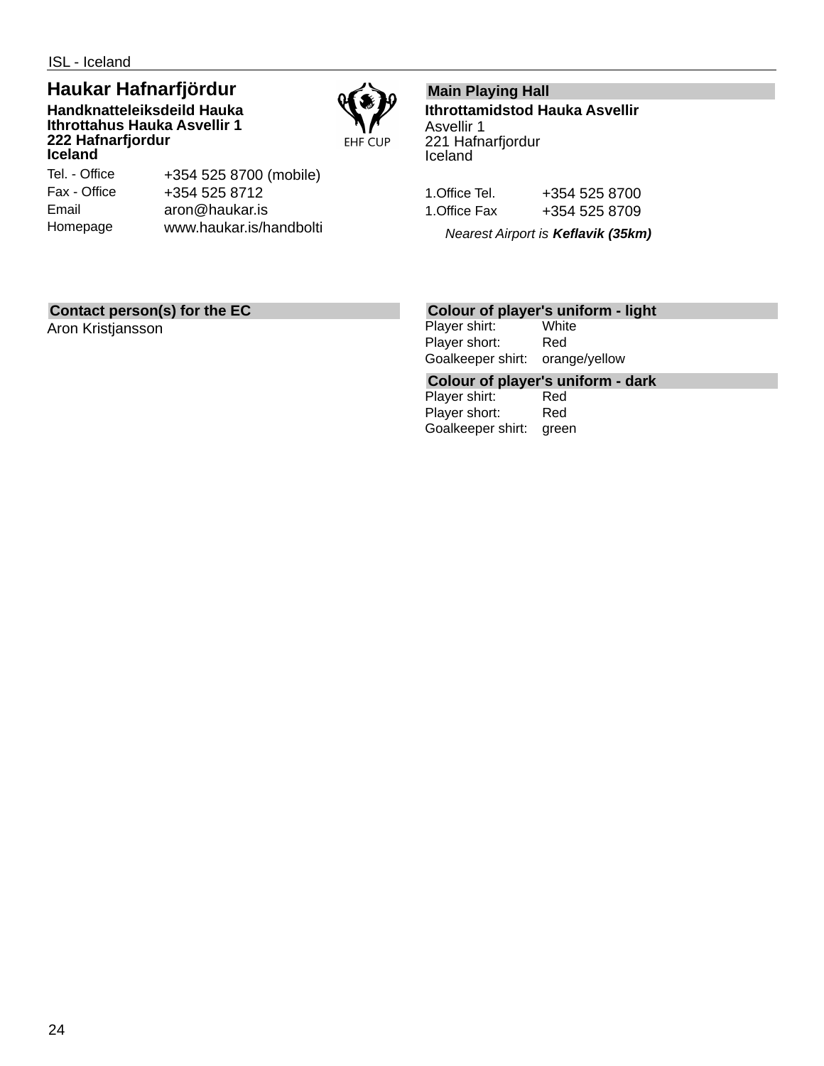ISL - Iceland

### **Haukar Hafnarfjördur**

**Handknatteleiksdeild Hauka Ithrottahus Hauka Asvellir 1 222 Hafnarfjordur Iceland**



Tel. - Office Fax - Office Email Homepage

+354 525 8700 (mobile) +354 525 8712 aron@haukar.is www.haukar.is/handbolti

### **Main Playing Hall**

**Ithrottamidstod Hauka Asvellir** Asvellir 1 221 Hafnarfjordur Iceland

| 1.Office Tel. | +354 525 8700 |
|---------------|---------------|
| 1.Office Fax  | +354 525 8709 |

*Nearest Airport is Keflavik (35km)*

### **Contact person(s) for the EC**

Aron Kristjansson

## **Colour of player's uniform - light**

Player shirt: Player short: Red Goalkeeper shirt: orange/yellow

**Colour of player's uniform - dark**

Player shirt: Player short: Red Goalkeeper shirt: green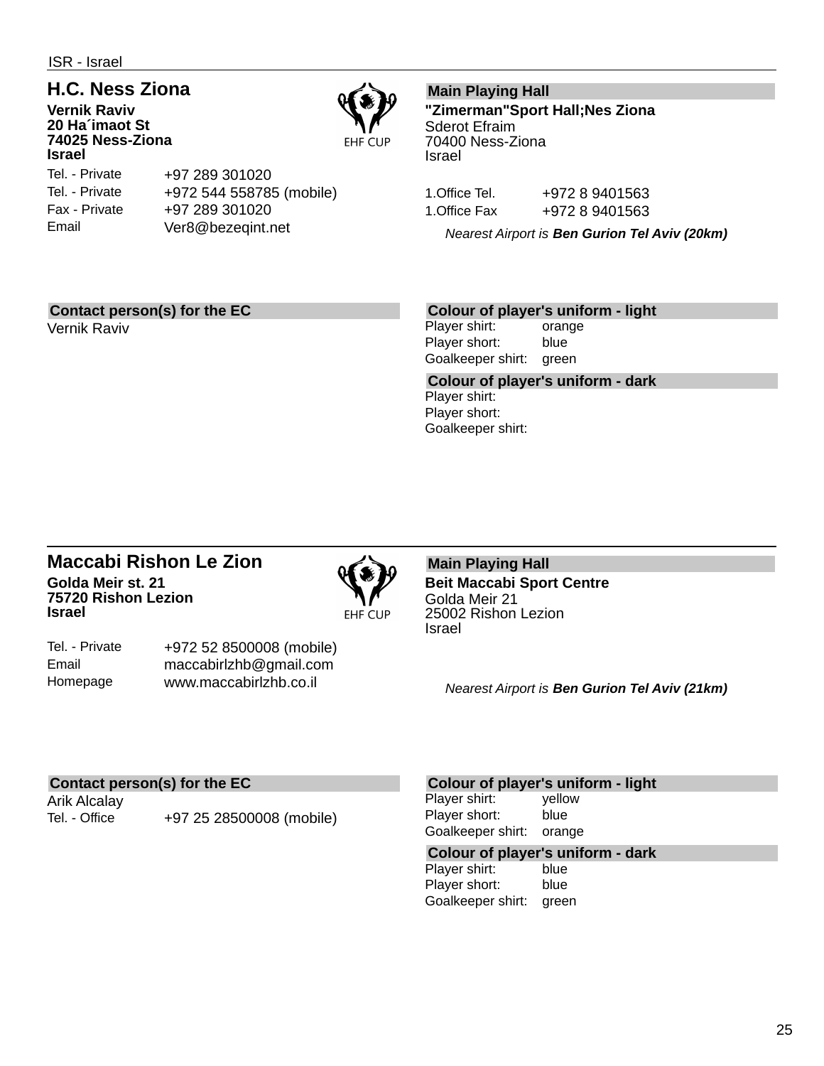ISR - Israel

### **H.C. Ness Ziona**

**Vernik Raviv 20 Ha´imaot St 74025 Ness-Ziona Israel**

Tel. - Private Tel. - Private Fax - Private Email

+97 289 301020 +972 544 558785 (mobile) +97 289 301020 Ver8@bezeqint.net

### **Main Playing Hall**

**"Zimerman"Sport Hall;Nes Ziona** Sderot Efraim 70400 Ness-Ziona Israel

1.Office Tel. +972 8 9401563 1.Office Fax +972 8 9401563

*Nearest Airport is Ben Gurion Tel Aviv (20km)*

### **Contact person(s) for the EC**

Vernik Raviv

### **Colour of player's uniform - light**

Player shirt: orange Player short: blue Goalkeeper shirt: green

**Colour of player's uniform - dark** Player shirt: Player short: Goalkeeper shirt:

### **Maccabi Rishon Le Zion Golda Meir st. 21 75720 Rishon Lezion Israel**



**EHF CUP** 

Tel. - Private Email Homepage +972 52 8500008 (mobile) maccabirlzhb@gmail.com www.maccabirlzhb.co.il

#### **Main Playing Hall Beit Maccabi Sport Centre** Golda Meir 21 25002 Rishon Lezion Israel

*Nearest Airport is Ben Gurion Tel Aviv (21km)*

### **Contact person(s) for the EC**

Arik Alcalay

Tel. - Office +97 25 28500008 (mobile)

#### **Colour of player's uniform - light**

Player shirt: yellow Player short: blue Goalkeeper shirt: orange

## **Colour of player's uniform - dark**

Player shirt: Player short: blue Goalkeeper shirt: green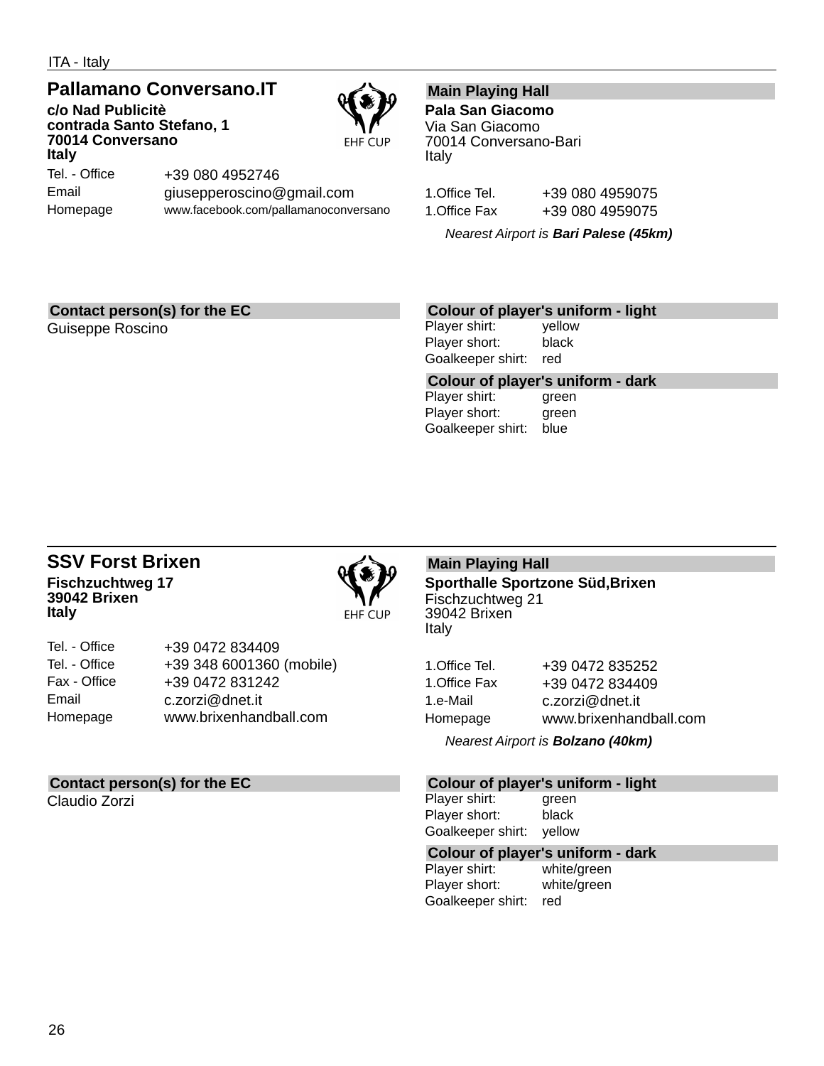ITA - Italy

### **Pallamano Conversano.IT**

**c/o Nad Publicitè contrada Santo Stefano, 1 70014 Conversano Italy** Tel. - Office



Email Homepage +39 080 4952746 giusepperoscino@gmail.com www.facebook.com/pallamanoconversano

### **Main Playing Hall**

**Pala San Giacomo** Via San Giacomo 70014 Conversano-Bari Italy

| 1.Office Tel. | +39 080 4959075 |
|---------------|-----------------|
| 1.Office Fax  | +39 080 4959075 |

*Nearest Airport is Bari Palese (45km)*

### **Contact person(s) for the EC**

Guiseppe Roscino

### **Colour of player's uniform - light**

Player shirt: yellow Player short: black Goalkeeper shirt: red

**Colour of player's uniform - dark**

| Player shirt:     | green |
|-------------------|-------|
| Player short:     | green |
| Goalkeeper shirt: | blue  |

### **SSV Forst Brixen Fischzuchtweg 17 39042 Brixen Italy**



| Tel. - Office | +39 0472 834409          |
|---------------|--------------------------|
| Tel. - Office | +39 348 6001360 (mobile) |
| Fax - Office  | +39 0472 831242          |
| Email         | c.zorzi@dnet.it          |
| Homepage      | www.brixenhandball.com   |

### **Contact person(s) for the EC**

Claudio Zorzi

### **Main Playing Hall**

**Sporthalle Sportzone Süd,Brixen** Fischzuchtweg 21 39042 Brixen Italy

| 1.Office Tel. | +39 0472 835252        |
|---------------|------------------------|
| 1.Office Fax  | +39 0472 834409        |
| 1.e-Mail      | c.zorzi@dnet.it        |
| Homepage      | www.brixenhandball.com |
|               |                        |

*Nearest Airport is Bolzano (40km)*

### **Colour of player's uniform - light**

Player shirt: green Player short: black Goalkeeper shirt: yellow

## **Colour of player's uniform - dark**

white/green Player short: white/green Goalkeeper shirt: red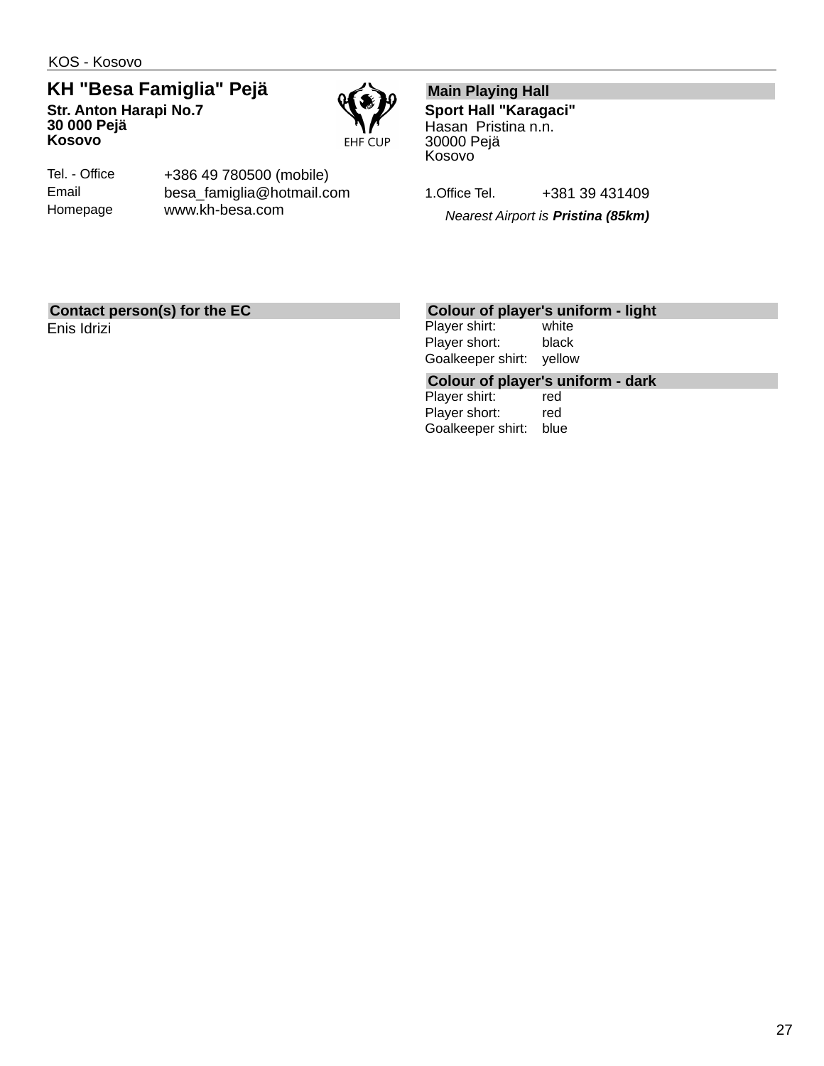KOS - Kosovo

**KH "Besa Famiglia" Pejä Str. Anton Harapi No.7 30 000 Pejä Kosovo**



Tel. - Office Email Homepage +386 49 780500 (mobile) besa\_famiglia@hotmail.com www.kh-besa.com

### **Main Playing Hall**

**Sport Hall "Karagaci"** Hasan Pristina n.n. 30000 Pejä Kosovo

1.Office Tel. +381 39 431409

*Nearest Airport is Pristina (85km)*

### **Contact person(s) for the EC**

Enis Idrizi

### **Colour of player's uniform - light**

Player shirt: white Player short: black Goalkeeper shirt: yellow

## **Colour of player's uniform - dark**

Player shirt: Player short: red Goalkeeper shirt: blue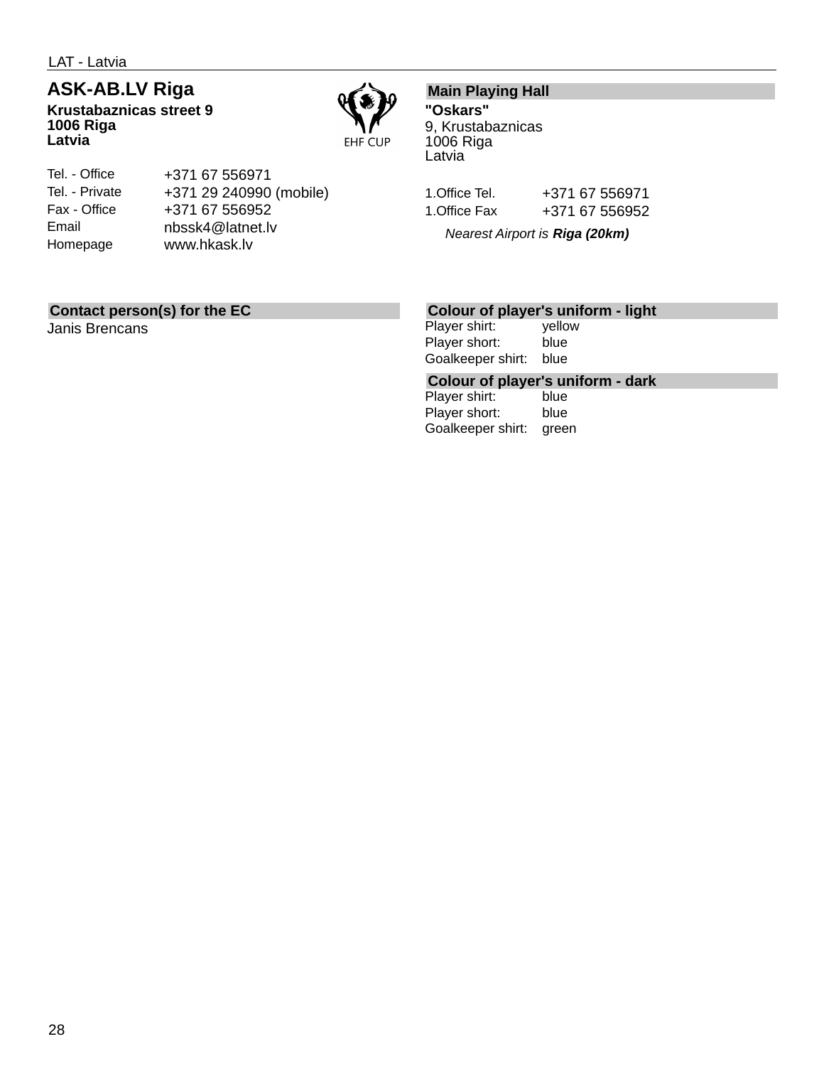LAT - Latvia

## **ASK-AB.LV Riga**

**Krustabaznicas street 9 1006 Riga Latvia**



#### Tel. - Office Tel. - Private Fax - Office Email Homepage +371 67 556971 +371 29 240990 (mobile) +371 67 556952 nbssk4@latnet.lv www.hkask.lv

### **Main Playing Hall**

**"Oskars"** 9, Krustabaznicas 1006 Riga Latvia

| 1.Office Tel. | +371 67 556971 |
|---------------|----------------|
| 1.Office Fax  | +371 67 556952 |

*Nearest Airport is Riga (20km)*

### **Contact person(s) for the EC**

Janis Brencans

### **Colour of player's uniform - light**

Player shirt: yellow Player short: blue Goalkeeper shirt: blue

## **Colour of player's uniform - dark**

Player shirt: Player short: blue Goalkeeper shirt: green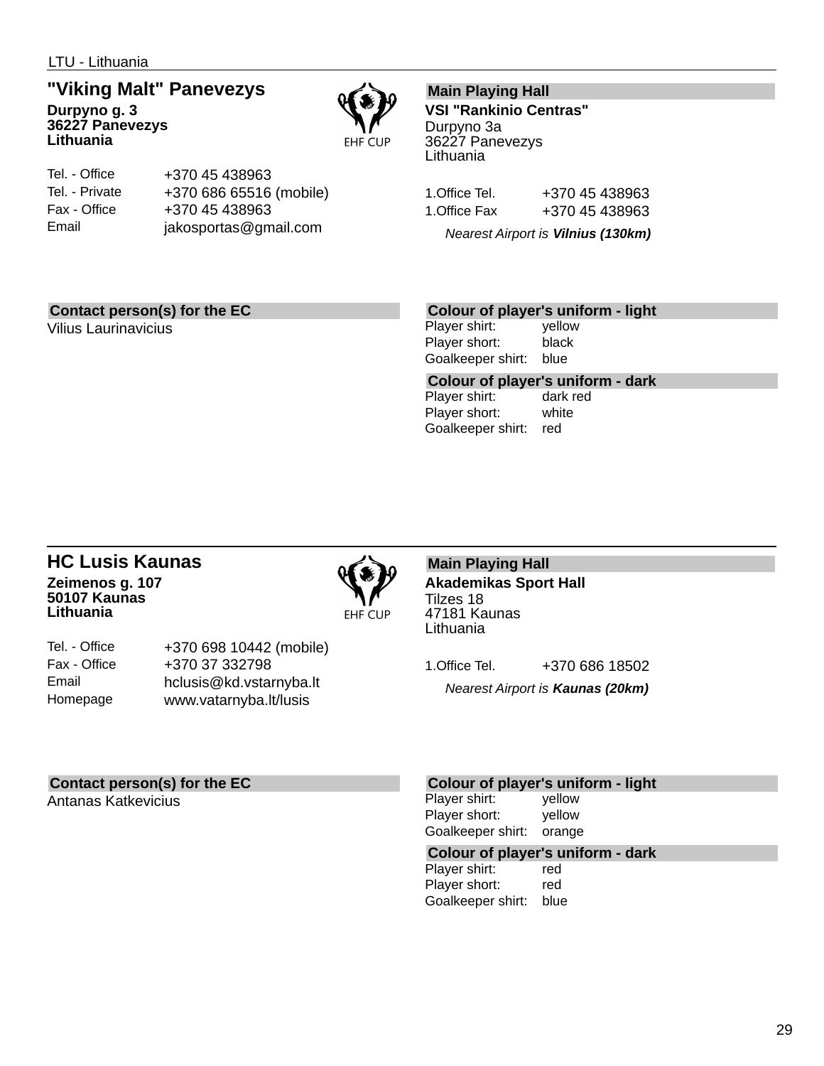LTU - Lithuania

## **"Viking Malt" Panevezys**

**Durpyno g. 3 36227 Panevezys Lithuania**



| Tel. - Office  | +370 45 438963          |
|----------------|-------------------------|
| Tel. - Private | +370 686 65516 (mobile) |
| Fax - Office   | +370 45 438963          |
| Email          | jakosportas@gmail.com   |

### **Main Playing Hall**

**VSI "Rankinio Centras"** Durpyno 3a 36227 Panevezys Lithuania

| 1.Office Tel. | +370 45 438963 |
|---------------|----------------|
| 1.Office Fax  | +370 45 438963 |

*Nearest Airport is Vilnius (130km)*

### **Contact person(s) for the EC**

Vilius Laurinavicius

### **Colour of player's uniform - light**

Player shirt: yellow Player short: black Goalkeeper shirt: blue

**Colour of player's uniform - dark** Player shirt:

Player short: white Goalkeeper shirt: red

### **HC Lusis Kaunas Zeimenos g. 107 50107 Kaunas Lithuania**



Tel. - Office Fax - Office Email Homepage +370 698 10442 (mobile) +370 37 332798 hclusis@kd.vstarnyba.lt www.vatarnyba.lt/lusis

**Main Playing Hall Akademikas Sport Hall** Tilzes 18 47181 Kaunas Lithuania

1.Office Tel. +370 686 18502 *Nearest Airport is Kaunas (20km)*

### **Contact person(s) for the EC**

Antanas Katkevicius

#### **Colour of player's uniform - light**

Player shirt: yellow Player short: yellow Goalkeeper shirt: orange

## **Colour of player's uniform - dark**

Player shirt: Player short: red Goalkeeper shirt: blue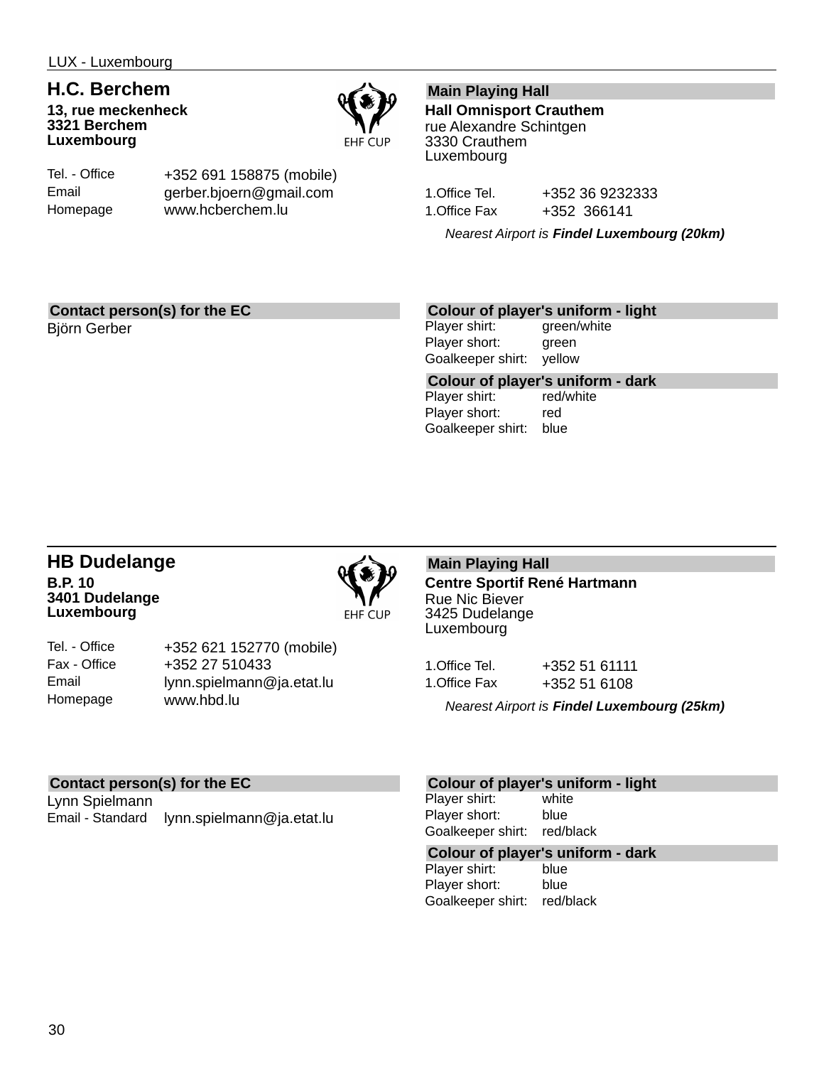## **H.C. Berchem**

**13, rue meckenheck 3321 Berchem Luxembourg**



Tel. - Office Email Homepage

+352 691 158875 (mobile) gerber.bjoern@gmail.com www.hcberchem.lu

### **Main Playing Hall**

**Hall Omnisport Crauthem** rue Alexandre Schintgen 3330 Crauthem Luxembourg

1.Office Tel. +352 36 9232333 1.Office Fax +352 366141

*Nearest Airport is Findel Luxembourg (20km)*

### **Contact person(s) for the EC**

Björn Gerber

### **Colour of player's uniform - light**

Player shirt: green/white Player short: green Goalkeeper shirt: yellow

**Colour of player's uniform - dark** Player shirt: Player short: red Goalkeeper shirt: blue

### **HB Dudelange B.P. 10 3401 Dudelange Luxembourg**



Tel. - Office Fax - Office Email Homepage +352 621 152770 (mobile) +352 27 510433 lynn.spielmann@ja.etat.lu www.hbd.lu

**Main Playing Hall Centre Sportif René Hartmann** Rue Nic Biever 3425 Dudelange Luxembourg

| 1.Office Tel. | +352 51 61111 |
|---------------|---------------|
| 1.Office Fax  | +352 51 6108  |

*Nearest Airport is Findel Luxembourg (25km)*

### **Contact person(s) for the EC**

Lynn Spielmann Email - Standard lynn.spielmann@ja.etat.lu

#### **Colour of player's uniform - light**

Player shirt: white Player short: blue Goalkeeper shirt: red/black

## **Colour of player's uniform - dark**

Player shirt: Player short: blue Goalkeeper shirt: red/black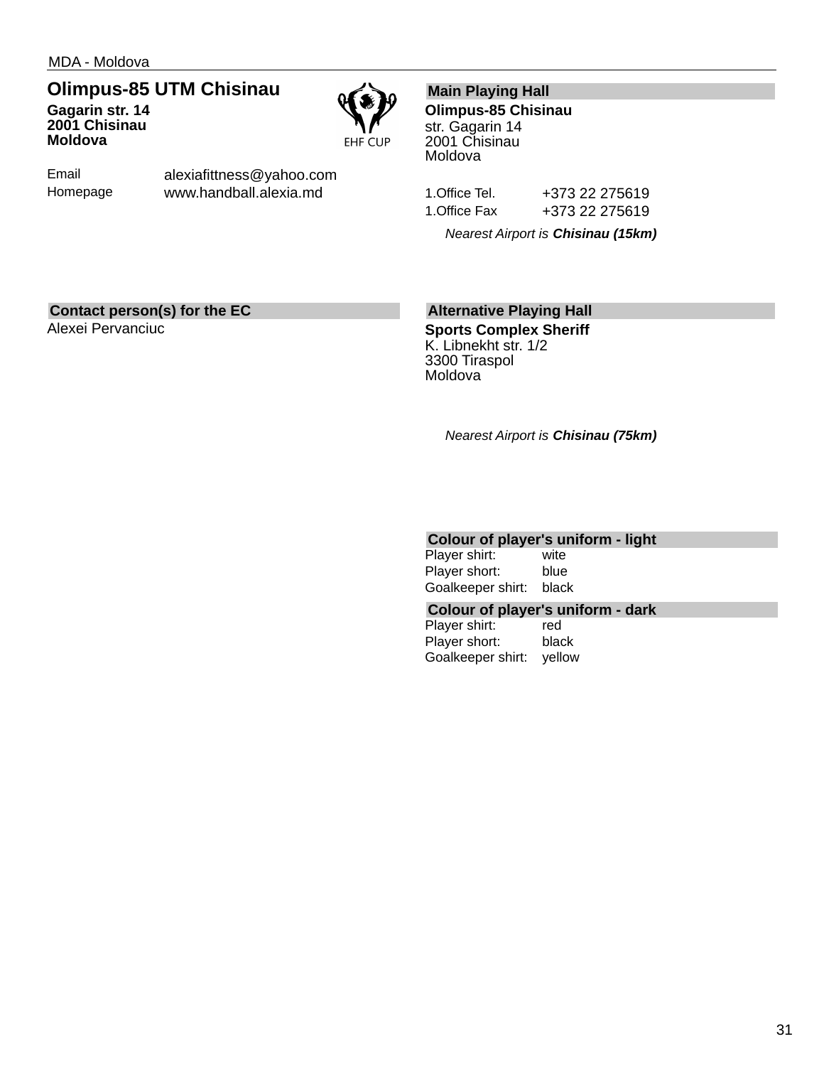### **Olimpus-85 UTM Chisinau**

**Gagarin str. 14 2001 Chisinau Moldova**



Email Homepage alexiafittness@yahoo.com www.handball.alexia.md

### **Main Playing Hall**

**Olimpus-85 Chisinau** str. Gagarin 14 2001 Chisinau Moldova

1.Office Tel. +373 22 275619 1.Office Fax +373 22 275619

*Nearest Airport is Chisinau (15km)*

### **Contact person(s) for the EC**

Alexei Pervanciuc

### **Alternative Playing Hall**

**Sports Complex Sheriff** K. Libnekht str. 1/2 3300 Tiraspol Moldova

*Nearest Airport is Chisinau (75km)*

### **Colour of player's uniform - light**

Player shirt: wite Player short: blue Goalkeeper shirt: black

#### **Colour of player's uniform - dark**

Player shirt: red Player short: black Goalkeeper shirt: yellow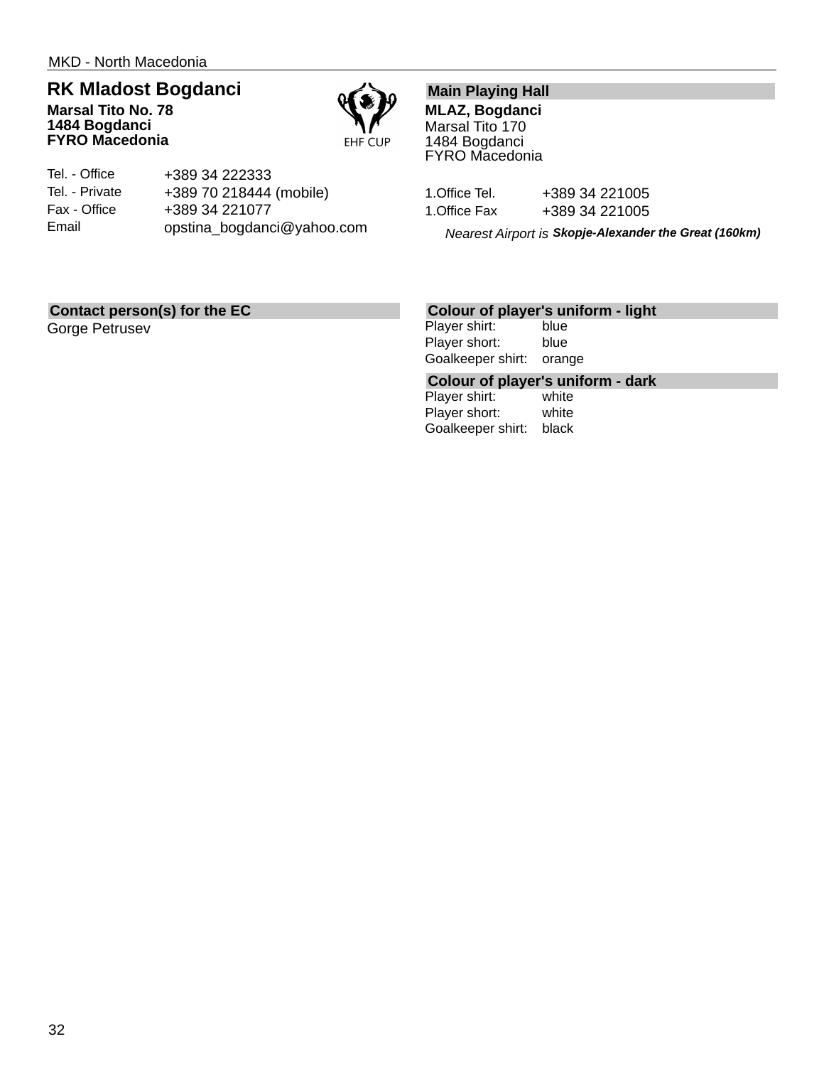### **RK Mladost Bogdanci**

**Marsal Tito No. 78 1484 Bogdanci FYRO Macedonia**



| Tel. - Office  | +389 34 222333             |
|----------------|----------------------------|
| Tel. - Private | +389 70 218444 (mobile)    |
| Fax - Office   | +389 34 221077             |
| Email          | opstina_bogdanci@yahoo.com |

### **Main Playing Hall**

**MLAZ, Bogdanci** Marsal Tito 170 1484 Bogdanci FYRO Macedonia

| 1.Office Tel. | +389 34 221005 |
|---------------|----------------|
| 1.Office Fax  | +389 34 221005 |

*Nearest Airport is Skopje-Alexander the Great (160km)*

### **Contact person(s) for the EC**

Gorge Petrusev

### **Colour of player's uniform - light**

Player shirt: blue Player short: blue Goalkeeper shirt: orange

## **Colour of player's uniform - dark**

Player shirt: Player short: white Goalkeeper shirt: black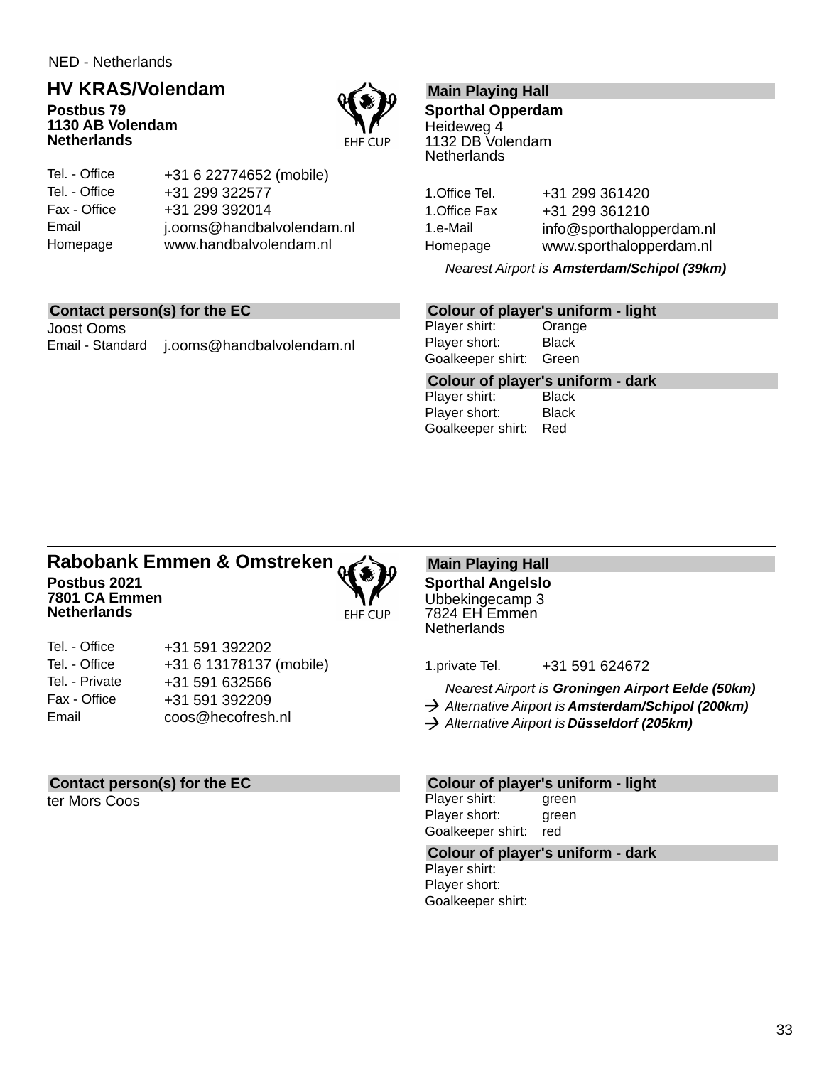NED - Netherlands

## **HV KRAS/Volendam**

**Postbus 79 1130 AB Volendam Netherlands**



| Tel. - Office | +31 6 22774652 (mobile)   |
|---------------|---------------------------|
| Tel. - Office | +31 299 322577            |
| Fax - Office  | +31 299 392014            |
| Email         | j.ooms@handbalvolendam.nl |
| Homepage      | www.handbalvolendam.nl    |

### **Contact person(s) for the EC**

Joost Ooms Email - Standard j.ooms@handbalvolendam.nl

### **Main Playing Hall**

**Sporthal Opperdam** Heideweg 4 1132 DB Volendam **Netherlands** 

1.Office Tel. +31 299 361420 1.Office Fax +31 299 361210 1.e-Mail info@sporthalopperdam.nl Homepage www.sporthalopperdam.nl

*Nearest Airport is Amsterdam/Schipol (39km)*

### **Colour of player's uniform - light**

Player shirt: Orange Player short: Black Goalkeeper shirt: Green

**Colour of player's uniform - dark**

Player shirt: Player short: Black Goalkeeper shirt: Red

#### **Rabobank Emmen & Omstreken Postbus 2021 7801 CA Emmen Netherlands EHF CUP**



| Tel. - Office  | +31 591 392202          |
|----------------|-------------------------|
| Tel. - Office  | +31 6 13178137 (mobile) |
| Tel. - Private | +31 591 632566          |
| Fax - Office   | +31 591 392209          |
| Email          | coos@hecofresh.nl       |

### **Contact person(s) for the EC**

ter Mors Coos

**Main Playing Hall Sporthal Angelslo** Ubbekingecamp 3 7824 EH Emmen **Netherlands** 

1.private Tel. +31 591 624672

*Nearest Airport is Groningen Airport Eelde (50km) Alternative Airport is Amsterdam/Schipol (200km)*

*Alternative Airport is Düsseldorf (205km)*

### **Colour of player's uniform - light**

Player shirt: green Player short: green Goalkeeper shirt: red

### **Colour of player's uniform - dark**

Player shirt: Player short: Goalkeeper shirt: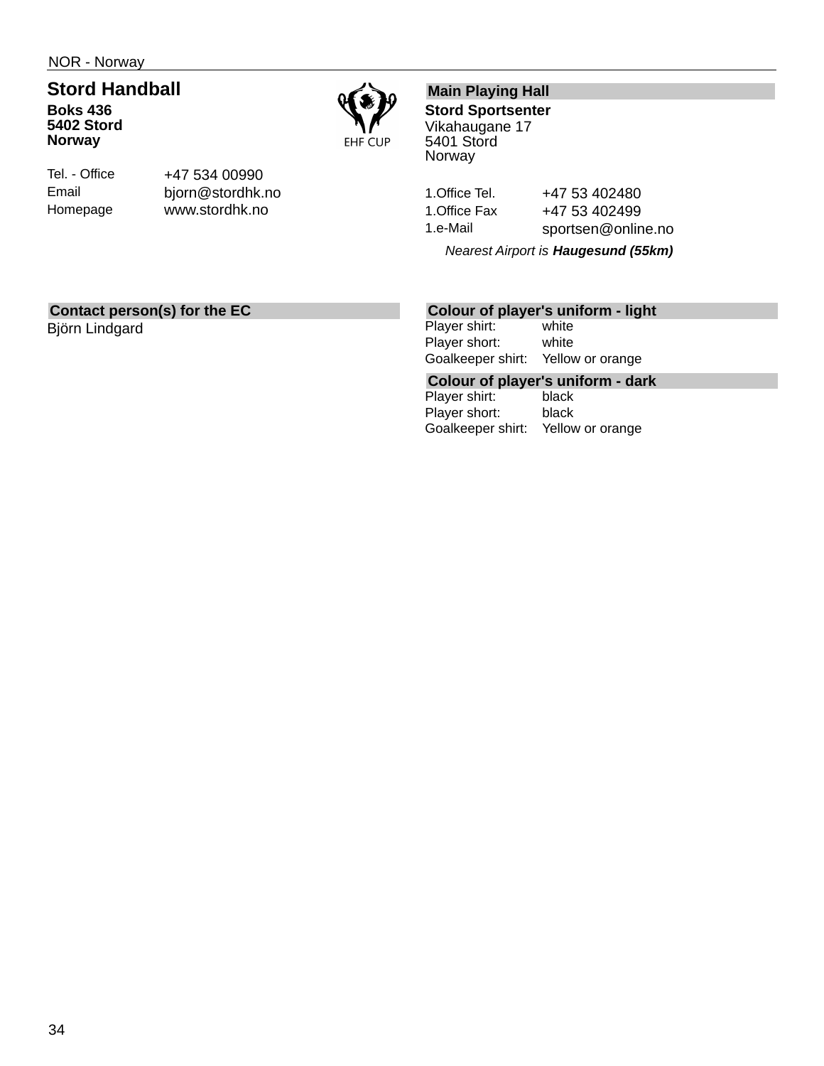NOR - Norway

### **Stord Handball Boks 436 5402 Stord Norway**



| Tel. - Office |
|---------------|
| Email         |
| Homepage      |

+47 534 00990 bjorn@stordhk.no www.stordhk.no

### **Main Playing Hall**

**Stord Sportsenter** Vikahaugane 17 5401 Stord Norway

1. Office Tel. +47 53 402480 1. Office Fax +47 53 402499 1.e-Mail sportsen@online.no

*Nearest Airport is Haugesund (55km)*

### **Contact person(s) for the EC**

Björn Lindgard

### **Colour of player's uniform - light**

Player shirt: white Player short: white Goalkeeper shirt: Yellow or orange

**Colour of player's uniform - dark**

Player shirt: Player short: black Goalkeeper shirt: Yellow or orange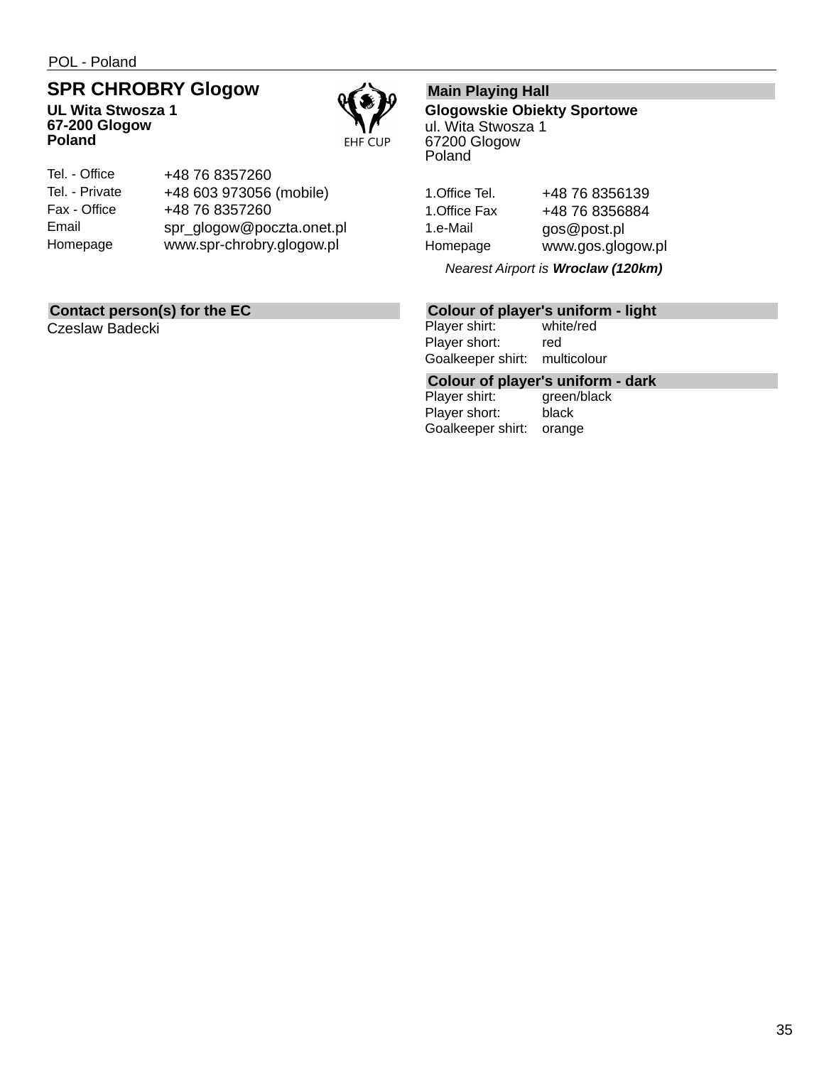POL - Poland

## **SPR CHROBRY Glogow**

**UL Wita Stwosza 1 67-200 Glogow Poland**



| Tel. - Office  | +48 76 8357260            |
|----------------|---------------------------|
| Tel. - Private | +48 603 973056 (mobile)   |
| Fax - Office   | +48 76 8357260            |
| Email          | spr_glogow@poczta.onet.pl |
| Homepage       | www.spr-chrobry.glogow.pl |

### **Contact person(s) for the EC**

Czeslaw Badecki

### **Main Playing Hall**

**Glogowskie Obiekty Sportowe** ul. Wita Stwosza 1 67200 Glogow Poland

1. Office Tel. +48 76 8356139 1. Office Fax +48 76 8356884 1.e-Mail gos@post.pl Homepage www.gos.glogow.pl

*Nearest Airport is Wroclaw (120km)*

## **Colour of player's uniform - light**

Player shirt: Player short: red Goalkeeper shirt: multicolour

## **Colour of player's uniform - dark**

Player shirt: Player short: black Goalkeeper shirt: orange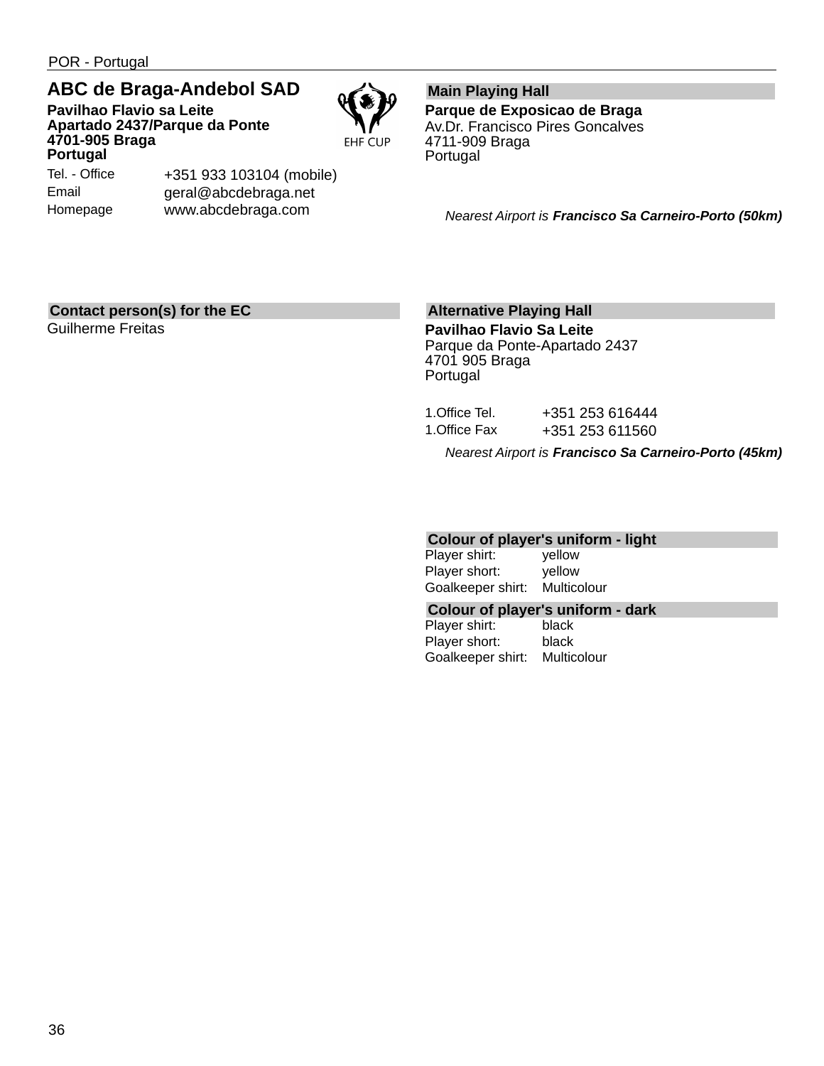POR - Portugal

Tel. - Office Email Homepage

### **ABC de Braga-Andebol SAD**

+351 933 103104 (mobile) geral@abcdebraga.net www.abcdebraga.com

**Pavilhao Flavio sa Leite Apartado 2437/Parque da Ponte 4701-905 Braga Portugal**



**Main Playing Hall Parque de Exposicao de Braga** Av.Dr. Francisco Pires Goncalves 4711-909 Braga Portugal

*Nearest Airport is Francisco Sa Carneiro-Porto (50km)*

### **Contact person(s) for the EC**

Guilherme Freitas

### **Alternative Playing Hall**

**Pavilhao Flavio Sa Leite** Parque da Ponte-Apartado 2437 4701 905 Braga Portugal

|               | Nearest Airport is Francisco Sa Carneiro-Porto (45km) |
|---------------|-------------------------------------------------------|
| 1.Office Fax  | +351 253 611560                                       |
| 1.Office Tel. | +351 253 616444                                       |

### **Colour of player's uniform - light**

Player shirt: yellow Player short: yellow Goalkeeper shirt: Multicolour

#### **Colour of player's uniform - dark**

Player shirt: black Player short: black Goalkeeper shirt: Multicolour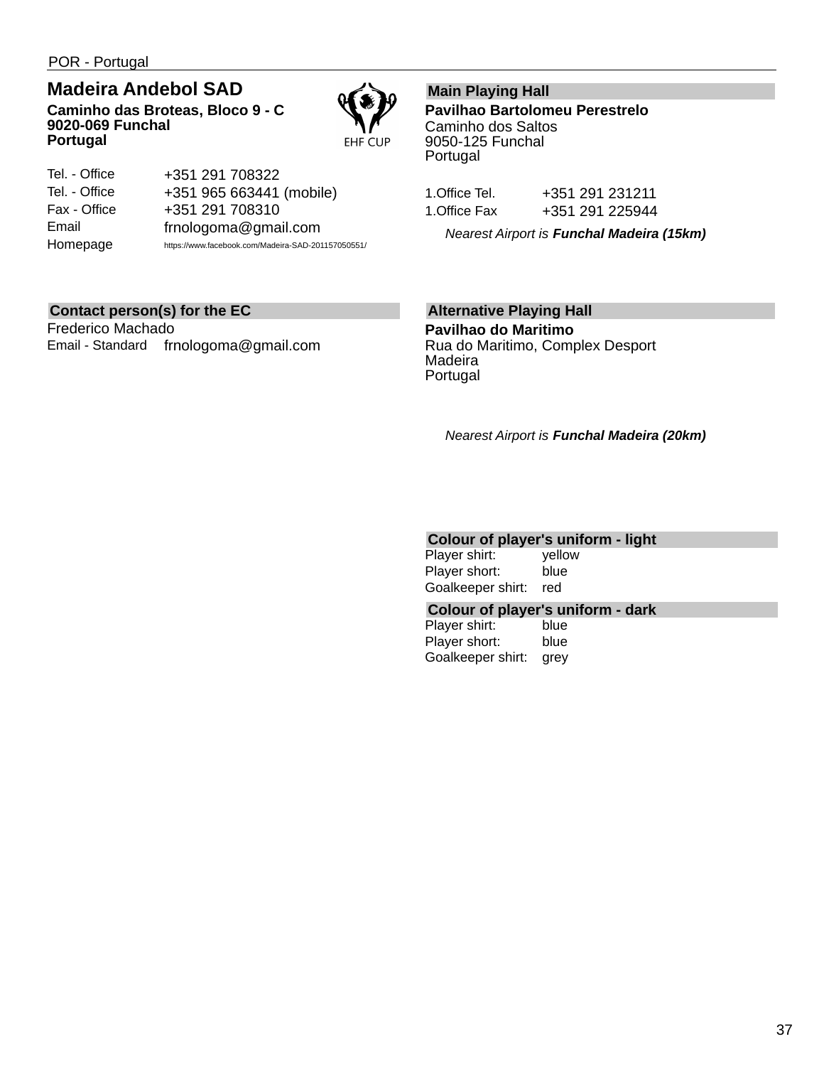POR - Portugal

### **Madeira Andebol SAD**

**Caminho das Broteas, Bloco 9 - C 9020-069 Funchal Portugal**



| Tel. - Office | +351 291 708322                                    |
|---------------|----------------------------------------------------|
| Tel. - Office | +351 965 663441 (mobile)                           |
| Fax - Office  | +351 291 708310                                    |
| Email         | frnologoma@gmail.com                               |
| Homepage      | https://www.facebook.com/Madeira-SAD-201157050551/ |

### **Contact person(s) for the EC**

Frederico Machado Email - Standard frnologoma@gmail.com

### **Main Playing Hall**

**Pavilhao Bartolomeu Perestrelo** Caminho dos Saltos 9050-125 Funchal Portugal

| 1.Office Tel. | +351 291 231211 |
|---------------|-----------------|
| 1.Office Fax  | +351 291 225944 |

*Nearest Airport is Funchal Madeira (15km)*

### **Alternative Playing Hall**

**Pavilhao do Maritimo** Rua do Maritimo, Complex Desport Madeira Portugal

*Nearest Airport is Funchal Madeira (20km)*

### **Colour of player's uniform - light**

| Player shirt:     | vellow |
|-------------------|--------|
| Player short:     | blue   |
| Goalkeeper shirt: | red    |

#### **Colour of player's uniform - dark**

Player shirt: blue Player short: blue Goalkeeper shirt: grey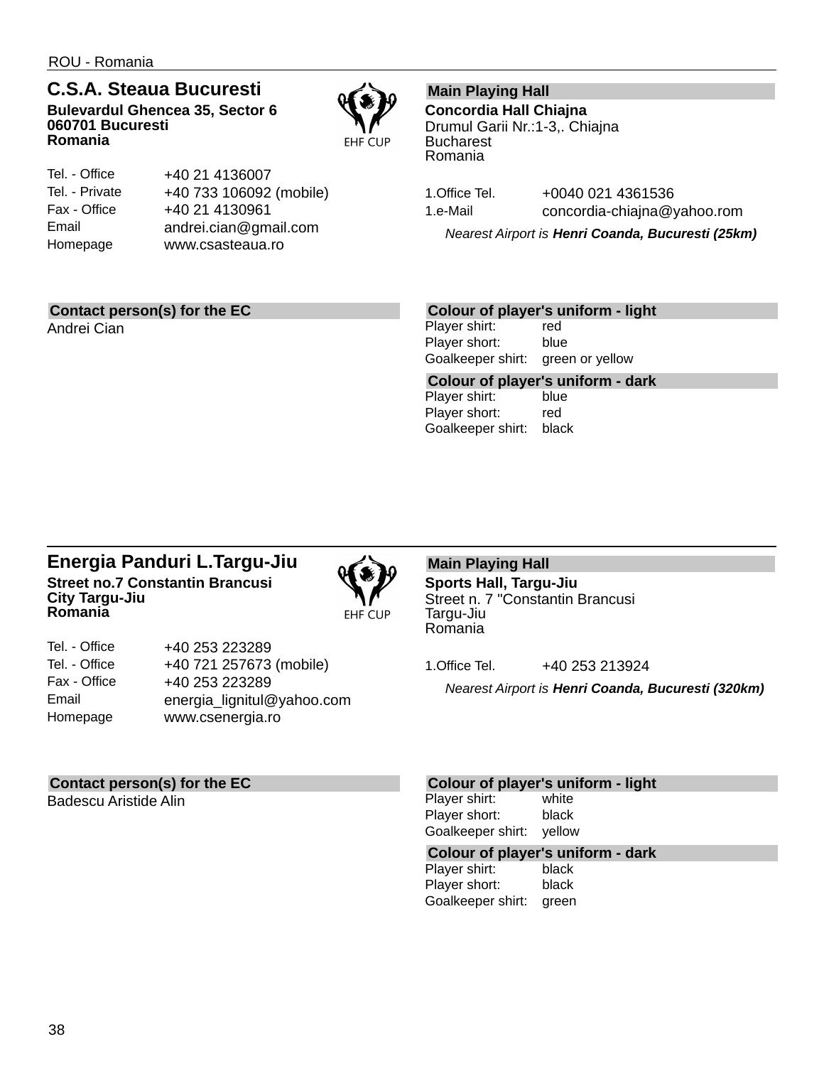### **C.S.A. Steaua Bucuresti Bulevardul Ghencea 35, Sector 6 060701 Bucuresti Romania**



| Tel. - Office  | +40 21 4136007          |
|----------------|-------------------------|
| Tel. - Private | +40 733 106092 (mobile) |
| Fax - Office   | +40 21 4130961          |
| Email          | andrei.cian@gmail.com   |
| Homepage       | www.csasteaua.ro        |
|                |                         |

### **Contact person(s) for the EC**

Andrei Cian

### **Main Playing Hall**

**Concordia Hall Chiajna** Drumul Garii Nr.:1-3,. Chiajna **Bucharest** Romania

1.Office Tel. +0040 021 4361536 1.e-Mail concordia-chiajna@yahoo.rom

*Nearest Airport is Henri Coanda, Bucuresti (25km)*

### **Colour of player's uniform - light**

Player shirt: red Player short: blue Goalkeeper shirt: green or yellow

**Colour of player's uniform - dark** Player shirt: Player short: red Goalkeeper shirt: black

### **Energia Panduri L.Targu-Jiu Street no.7 Constantin Brancusi City Targu-Jiu Romania**



| Tel. - Office | +40 253 223289             |
|---------------|----------------------------|
| Tel. - Office | +40 721 257673 (mobile)    |
| Fax - Office  | +40 253 223289             |
| Email         | energia_lignitul@yahoo.com |
| Homepage      | www.csenergia.ro           |
|               |                            |

### **Main Playing Hall**

**Sports Hall, Targu-Jiu** Street n. 7 "Constantin Brancusi Targu-Jiu Romania

1. Office Tel. +40 253 213924

*Nearest Airport is Henri Coanda, Bucuresti (320km)*

### **Contact person(s) for the EC**

Badescu Aristide Alin

#### **Colour of player's uniform - light**

Player shirt: white Player short: black Goalkeeper shirt: yellow

## **Colour of player's uniform - dark**

Player shirt: Player short: black Goalkeeper shirt: green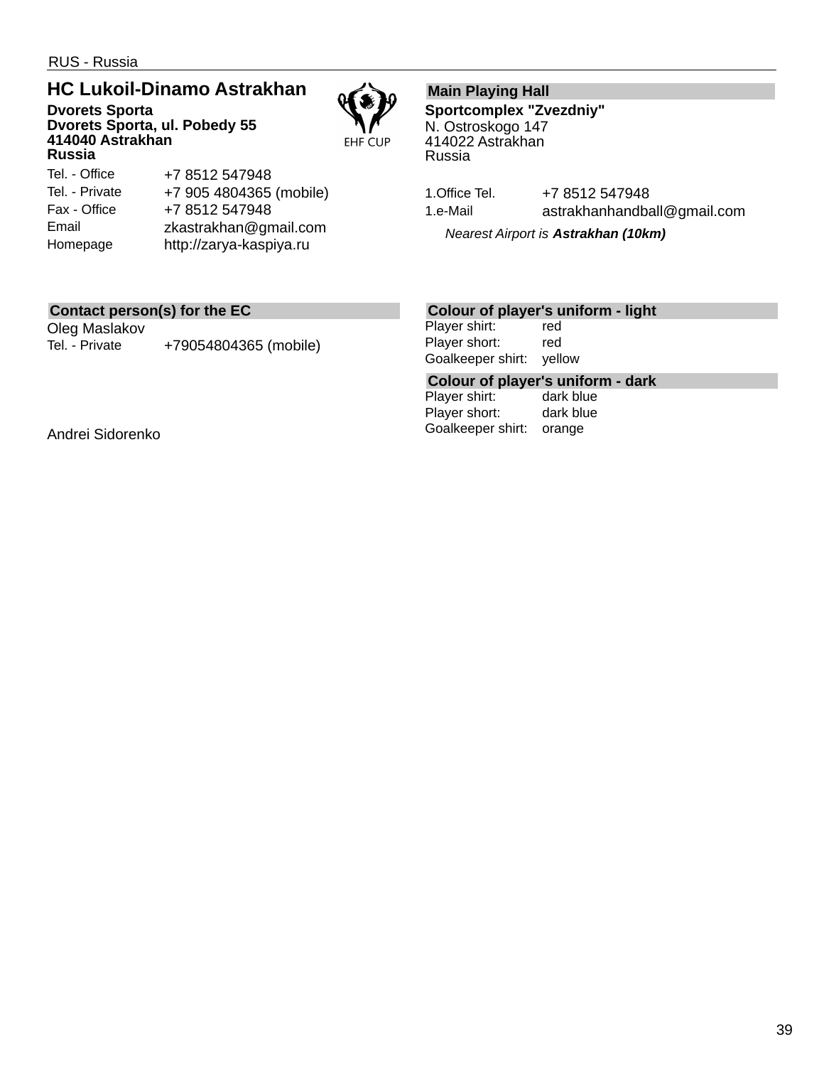RUS - Russia

## **HC Lukoil-Dinamo Astrakhan**

**Dvorets Sporta Dvorets Sporta, ul. Pobedy 55 414040 Astrakhan Russia**



#### Tel. - Office Tel. - Private Fax - Office Email Homepage +7 8512 547948 +7 905 4804365 (mobile) +7 8512 547948 zkastrakhan@gmail.com http://zarya-kaspiya.ru

### **Main Playing Hall**

**Sportcomplex "Zvezdniy"** N. Ostroskogo 147 414022 Astrakhan Russia

1. Office Tel. +7 8512 547948 1.e-Mail astrakhanhandball@gmail.com

*Nearest Airport is Astrakhan (10km)*

### **Contact person(s) for the EC**

Oleg Maslakov Tel. - Private +79054804365 (mobile)

### **Colour of player's uniform - light**

Player shirt: red Player short: red Goalkeeper shirt: yellow

## **Colour of player's uniform - dark**

Player shirt: Player short: dark blue Goalkeeper shirt: orange

Andrei Sidorenko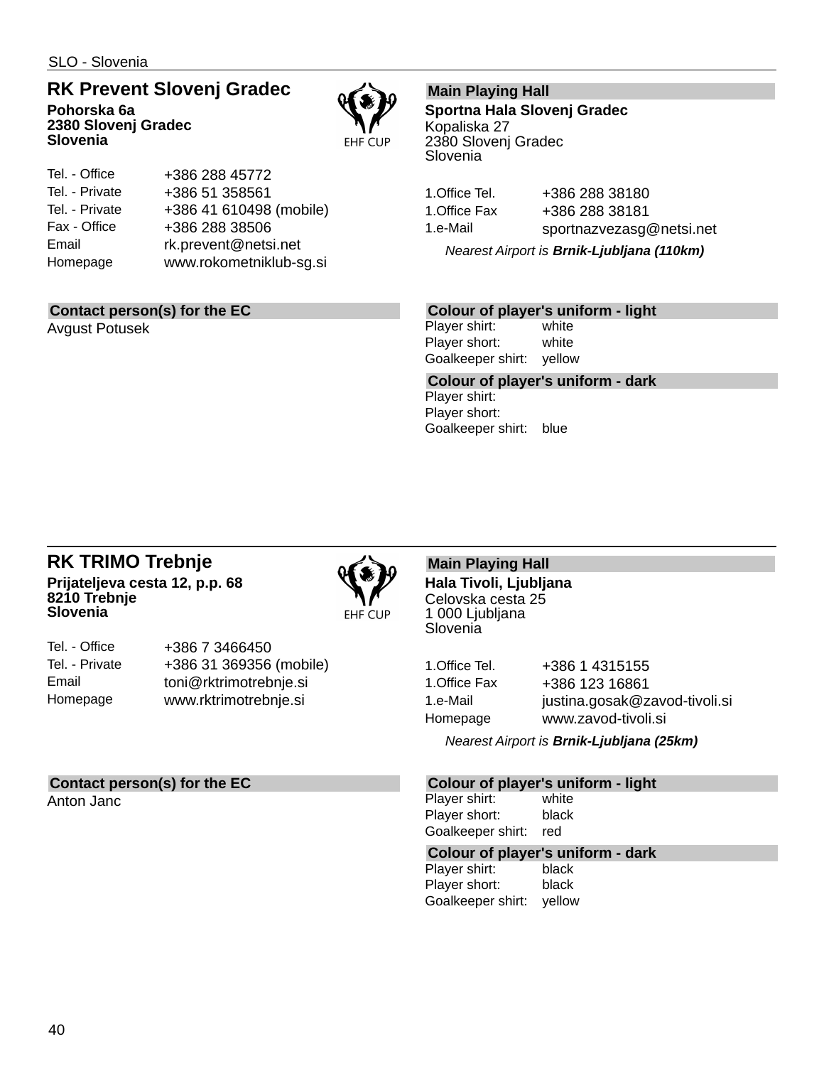### **RK Prevent Slovenj Gradec**

**Pohorska 6a 2380 Slovenj Gradec Slovenia**



| Tel. - Office  | +386 288 45772          |
|----------------|-------------------------|
| Tel. - Private | +386 51 358561          |
| Tel. - Private | +386 41 610498 (mobile) |
| Fax - Office   | +386 288 38506          |
| Email          | rk.prevent@netsi.net    |
| Homepage       | www.rokometniklub-sg.si |
|                |                         |

### **Contact person(s) for the EC**

Avgust Potusek

### **Main Playing Hall**

**Sportna Hala Slovenj Gradec** Kopaliska 27 2380 Slovenj Gradec Slovenia

| 1.Office Tel. | +386 288 38180           |
|---------------|--------------------------|
| 1.Office Fax  | +386 288 38181           |
| 1.e-Mail      | sportnazvezasg@netsi.net |

*Nearest Airport is Brnik-Ljubljana (110km)*

### **Colour of player's uniform - light**

Player shirt: white Player short: white Goalkeeper shirt: yellow

**Colour of player's uniform - dark** Player shirt: Player short: Goalkeeper shirt: blue

### **RK TRIMO Trebnje Prijateljeva cesta 12, p.p. 68 8210 Trebnje Slovenia**



| Tel. - Office  | +386 7 3466450          |
|----------------|-------------------------|
| Tel. - Private | +386 31 369356 (mobile) |
| Email          | toni@rktrimotrebnje.si  |
| Homepage       | www.rktrimotrebnje.si   |

### **Contact person(s) for the EC**

Anton Janc

**Main Playing Hall Hala Tivoli, Ljubljana** Celovska cesta 25 1 000 Ljubljana **Slovenia** 

| 1. Office Tel. | +386 1 4315155                |
|----------------|-------------------------------|
| 1.Office Fax   | +386 123 16861                |
| 1.e-Mail       | justina.gosak@zavod-tivoli.si |
| Homepage       | www.zavod-tivoli.si           |

*Nearest Airport is Brnik-Ljubljana (25km)*

### **Colour of player's uniform - light**

Player shirt: white Player short: black Goalkeeper shirt: red

## **Colour of player's uniform - dark**

Player shirt: Player short: black Goalkeeper shirt: yellow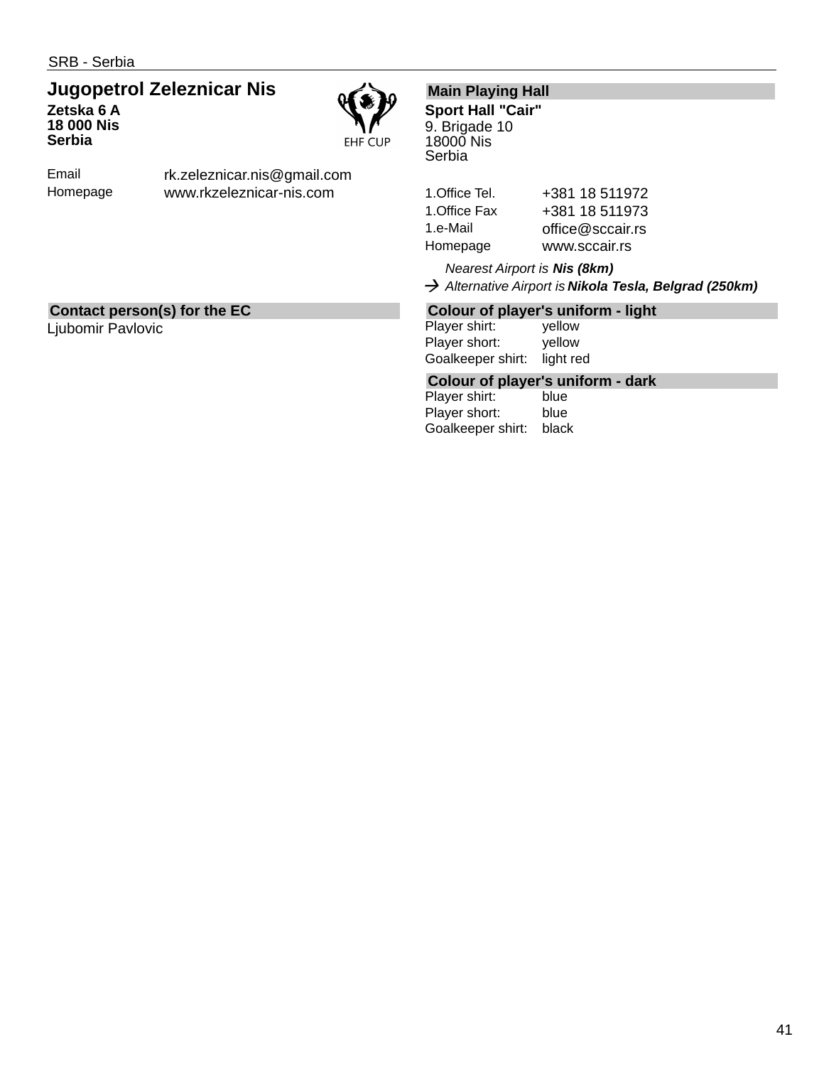### **Jugopetrol Zeleznicar Nis Zetska 6 A 18 000 Nis Serbia**



Email Homepage rk.zeleznicar.nis@gmail.com www.rkzeleznicar-nis.com

### **Main Playing Hall**

**Sport Hall "Cair"** 9. Brigade 10 18000 Nis **Serbia** 

| 1.Office Tel. | +381 18 511972   |
|---------------|------------------|
| 1.Office Fax  | +381 18 511973   |
| 1.e-Mail      | office@sccair.rs |
| Homepage      | www.sccair.rs    |
|               |                  |

*Nearest Airport is Nis (8km) Alternative Airport is Nikola Tesla, Belgrad (250km)*

### **Contact person(s) for the EC**

Ljubomir Pavlovic

### **Colour of player's uniform - light**

Player shirt: yellow Player short: yellow Goalkeeper shirt: light red

## **Colour of player's uniform - dark**

Player shirt: Player short: blue Goalkeeper shirt: black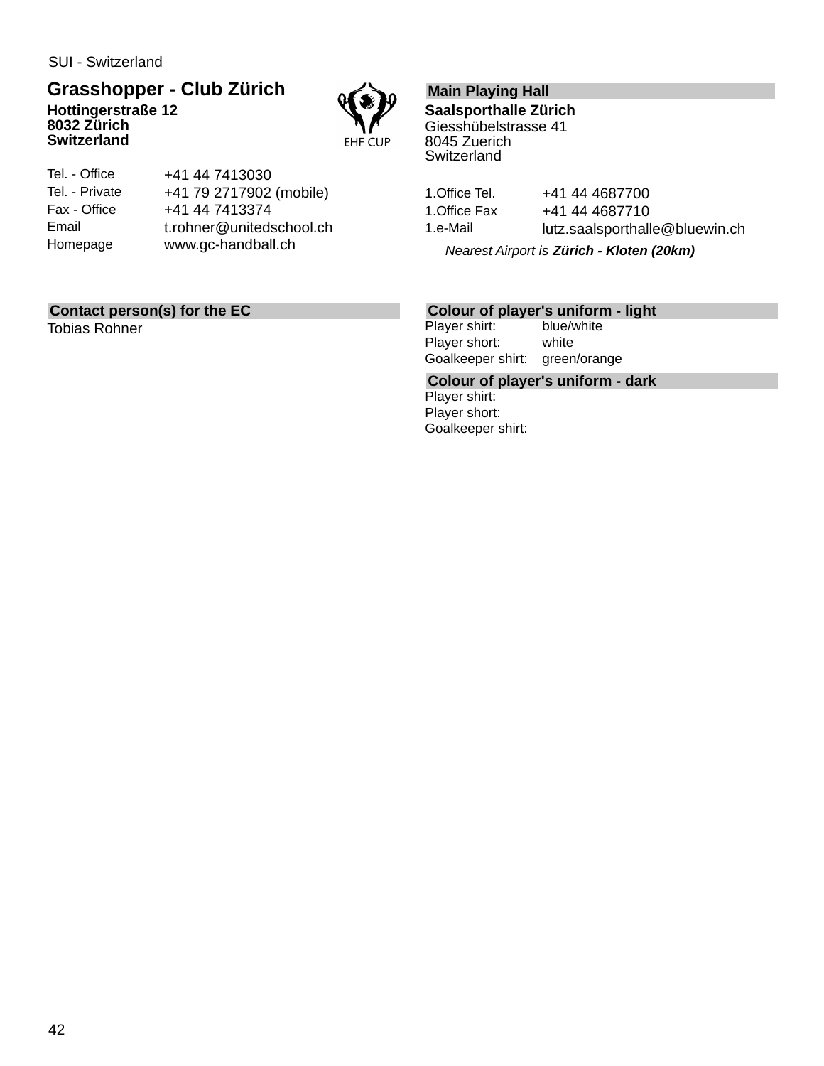SUI - Switzerland

**Switzerland**

### **Grasshopper - Club Zürich Hottingerstraße 12 8032 Zürich**



| Tel. - Office  | +41 44 7413030           |
|----------------|--------------------------|
| Tel. - Private | +41 79 2717902 (mobile)  |
| Fax - Office   | +41 44 7413374           |
| Email          | t.rohner@unitedschool.ch |
| Homepage       | www.gc-handball.ch       |
|                |                          |

### **Contact person(s) for the EC**

Tobias Rohner

### **Main Playing Hall**

**Saalsporthalle Zürich** Giesshübelstrasse 41 8045 Zuerich **Switzerland** 

| 1.Office Tel.<br>+41 44 4687700 |                                |
|---------------------------------|--------------------------------|
| 1. Office Fax<br>+41 44 4687710 |                                |
| 1.e-Mail                        | lutz.saalsporthalle@bluewin.ch |

*Nearest Airport is Zürich - Kloten (20km)*

# **Colour of player's uniform - light**

Player shirt: Player short: white Goalkeeper shirt: green/orange

**Colour of player's uniform - dark** Player shirt: Player short: Goalkeeper shirt: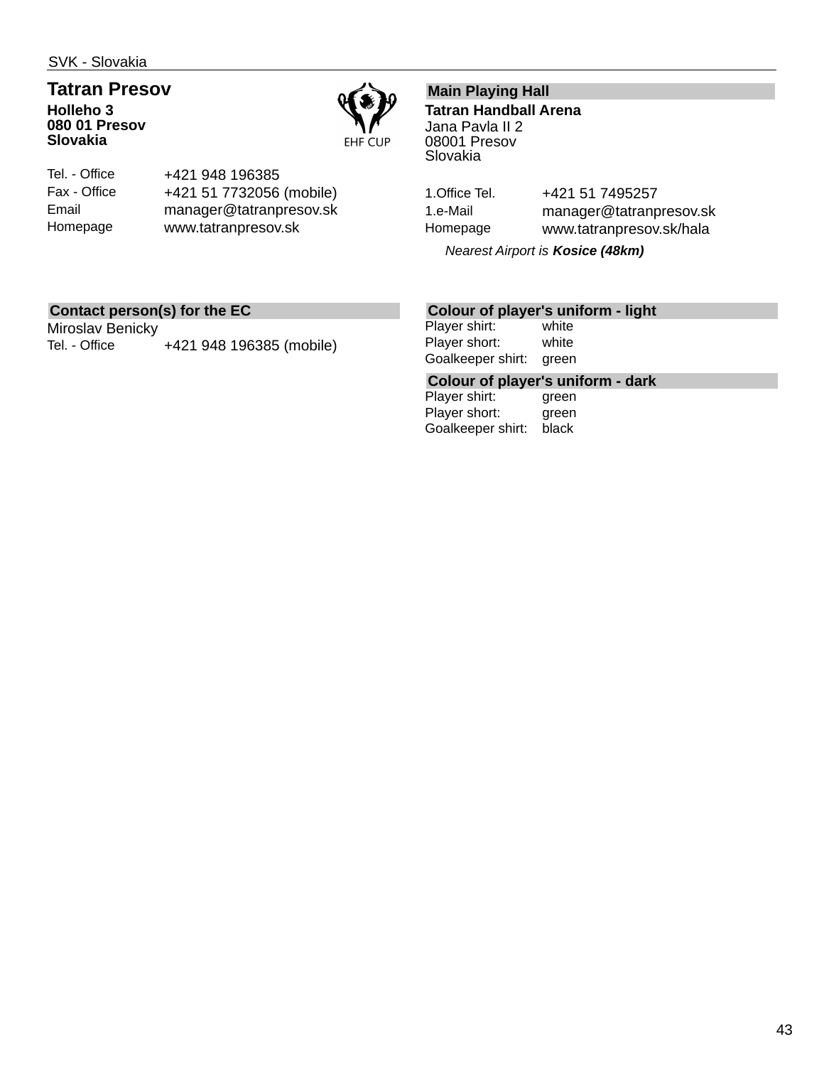SVK - Slovakia

### **Tatran Presov Holleho 3 080 01 Presov Slovakia**



Tel. - Office Fax - Office Email Homepage +421 948 196385 +421 51 7732056 (mobile) manager@tatranpresov.sk www.tatranpresov.sk

### **Main Playing Hall**

**Tatran Handball Arena** Jana Pavla II 2 08001 Presov Slovakia

1. Office Tel. +421 51 7495257 1.e-Mail manager@tatranpresov.sk Homepage www.tatranpresov.sk/hala

*Nearest Airport is Kosice (48km)*

### **Contact person(s) for the EC**

Miroslav Benicky Tel. - Office +421 948 196385 (mobile)

### **Colour of player's uniform - light**

Player shirt: white Player short: white Goalkeeper shirt: green

**Colour of player's uniform - dark**

Player shirt: Player short: green Goalkeeper shirt: black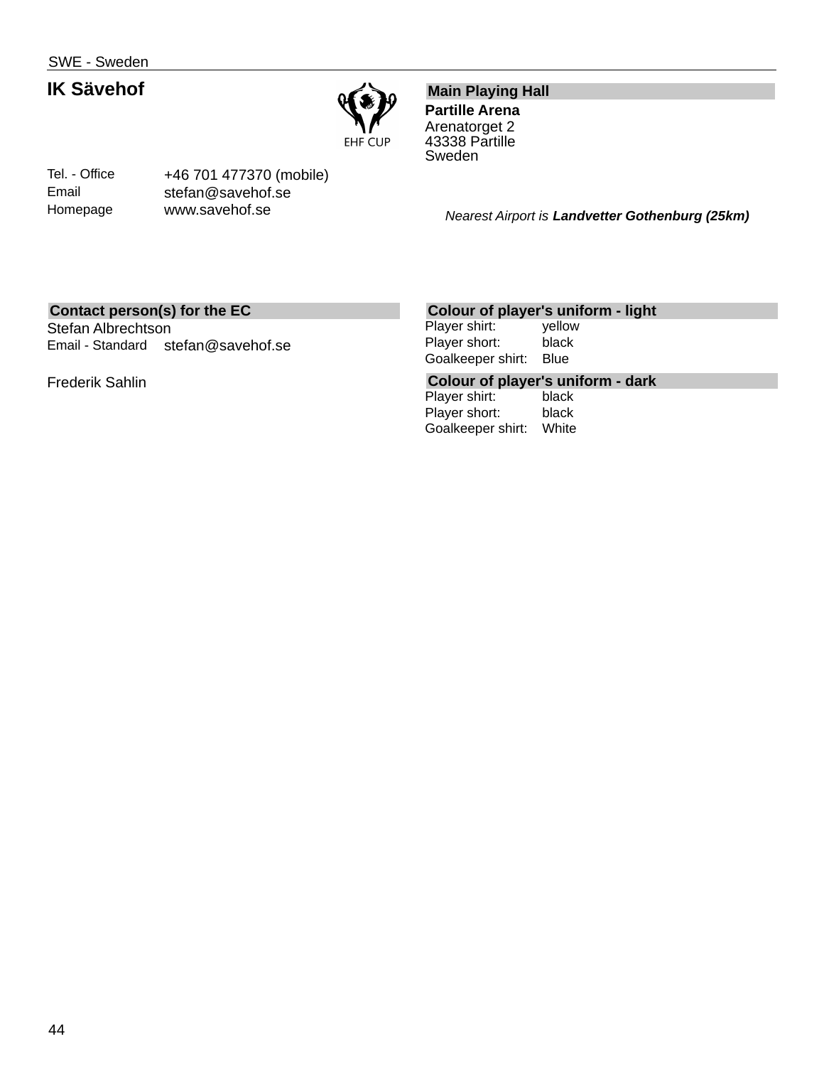SWE - Sweden

### **IK Sävehof**

Tel. - Office Email Homepage



## **Main Playing Hall**

**Partille Arena** Arenatorget 2 43338 Partille Sweden

*Nearest Airport is Landvetter Gothenburg (25km)*

### **Contact person(s) for the EC**

Stefan Albrechtson Email - Standard stefan@savehof.se

+46 701 477370 (mobile) stefan@savehof.se www.savehof.se

Frederik Sahlin

### **Colour of player's uniform - light**

Player shirt: yellow Player short: black Goalkeeper shirt: Blue

## **Colour of player's uniform - dark**

Player shirt: Player short: black Goalkeeper shirt: White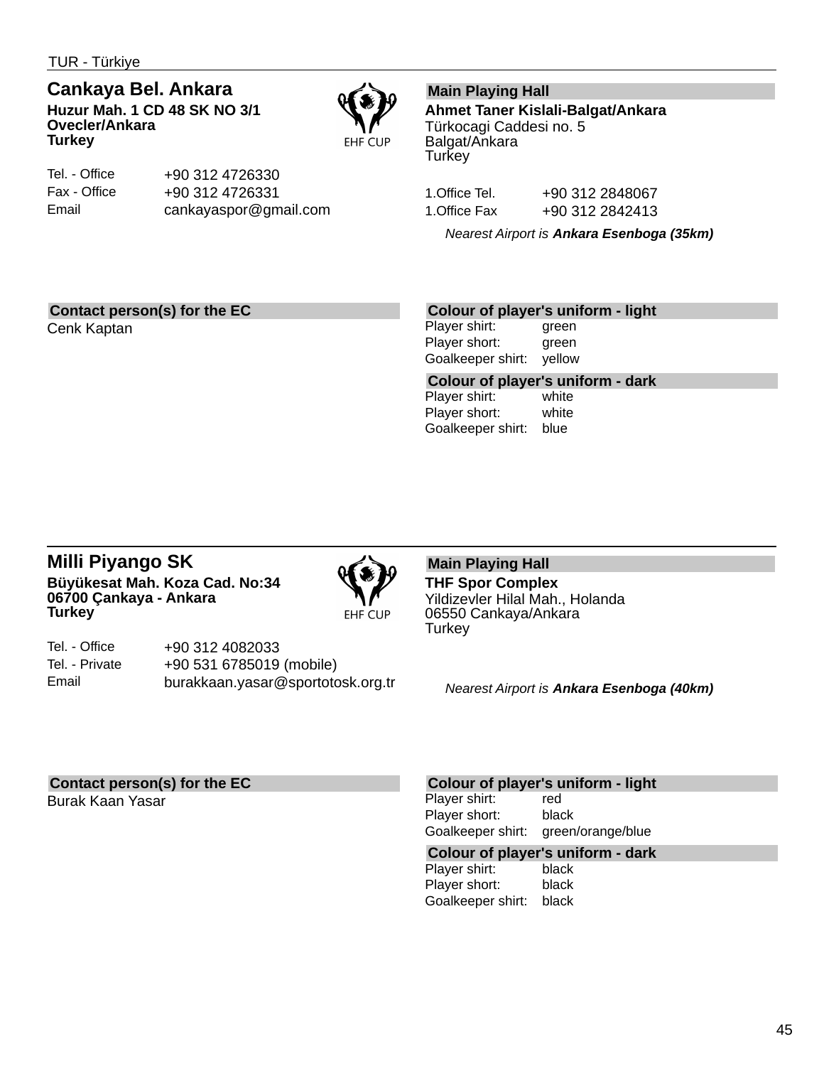TUR - Türkiye

# **Cankaya Bel. Ankara**

**Huzur Mah. 1 CD 48 SK NO 3/1 Ovecler/Ankara Turkey**



Tel. - Office Fax - Office Email +90 312 4726330 +90 312 4726331 cankayaspor@gmail.com

### **Main Playing Hall**

**Ahmet Taner Kislali-Balgat/Ankara** Türkocagi Caddesi no. 5 Balgat/Ankara **Turkey** 

1.Office Tel. +90 312 2848067 1.Office Fax +90 312 2842413

*Nearest Airport is Ankara Esenboga (35km)*

### **Contact person(s) for the EC**

Cenk Kaptan

### **Colour of player's uniform - light**

Player shirt: green Player short: green Goalkeeper shirt: yellow

**Colour of player's uniform - dark** Player shirt: Player short: white Goalkeeper shirt: blue

### **Milli Piyango SK Büyükesat Mah. Koza Cad. No:34 06700 Çankaya - Ankara Turkey**



Tel. - Office Tel. - Private Email +90 312 4082033 +90 531 6785019 (mobile) burakkaan.yasar@sportotosk.org.tr

#### **Main Playing Hall THF Spor Complex** Yildizevler Hilal Mah., Holanda 06550 Cankaya/Ankara **Turkey**

*Nearest Airport is Ankara Esenboga (40km)*

### **Contact person(s) for the EC**

Burak Kaan Yasar

### **Colour of player's uniform - light**

Player shirt: red Player short: black Goalkeeper shirt: green/orange/blue

## **Colour of player's uniform - dark**

Player shirt: Player short: black Goalkeeper shirt: black